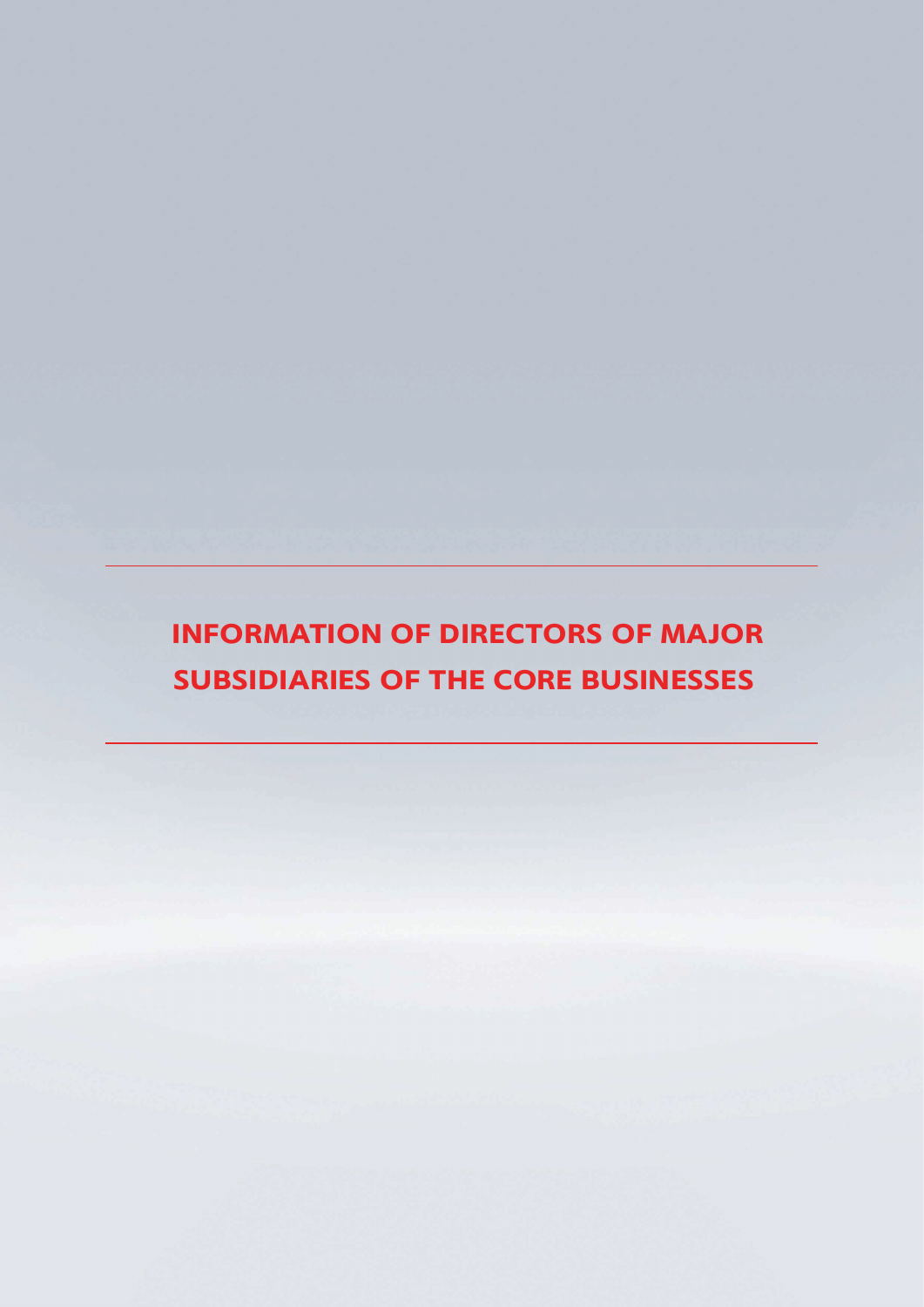**INFORMATION OF DIRECTORS OF MAJOR SUBSIDIARIES OF THE CORE BUSINESSES**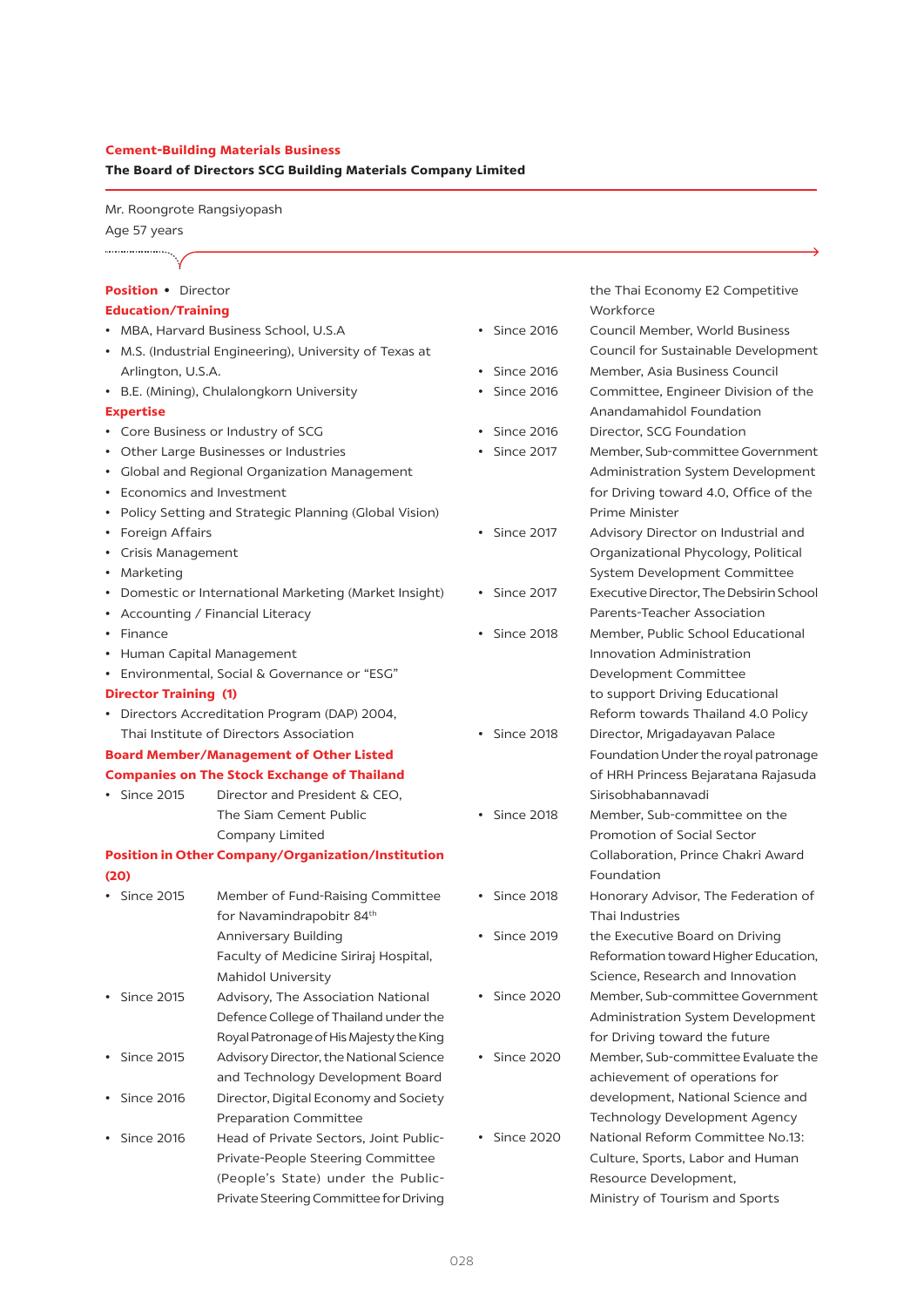#### **Cement-Building Materials Business**

**The Board of Directors SCG Building Materials Company Limited** 

Mr. Roongrote Rangsiyopash Age 57 years

#### **Position •** Director

#### **Education/Training**

- • MBA, Harvard Business School, U.S.A
- • M.S. (Industrial Engineering), University of Texas at Arlington, U.S.A.
- • B.E. (Mining), Chulalongkorn University

#### **Expertise**

...................

- • Core Business or Industry of SCG
- • Other Large Businesses or Industries
- • Global and Regional Organization Management
- • Economics and Investment
- • Policy Setting and Strategic Planning (Global Vision)
- • Foreign Affairs
- • Crisis Management
- • Marketing
- • Domestic or International Marketing (Market Insight)
- • Accounting / Financial Literacy
- • Finance
- • Human Capital Management
- • Environmental, Social & Governance or "ESG"

### **Director Training (1)**

• Directors Accreditation Program (DAP) 2004, Thai Institute of Directors Association

## **Board Member/Management of Other Listed Companies on The Stock Exchange of Thailand**

- Since 2015 Director and President & CEO.
	- The Siam Cement Public Company Limited

## **Position in Other Company/Organization/Institution (20)**

| <b>Since 2015</b> | Member of Fund-Raising Committee        |
|-------------------|-----------------------------------------|
|                   | for Navamindrapobitr 84 <sup>th</sup>   |
|                   | Anniversary Building                    |
|                   | Faculty of Medicine Siriraj Hospital,   |
|                   | Mahidol University                      |
| Since 2015        | Advisory, The Association National      |
|                   | Defence College of Thailand under the   |
|                   | Royal Patronage of His Majesty the King |
| <b>Since 2015</b> | Advisory Director, the National Science |
|                   | and Technology Development Board        |
| Since 2016        | Director, Digital Economy and Society   |
|                   | <b>Preparation Committee</b>            |
| <b>Since 2016</b> | Head of Private Sectors, Joint Public-  |
|                   | Private-People Steering Committee       |
|                   | (People's State) under the Public-      |
|                   | Private Steering Committee for Driving  |

 the Thai Economy E2 Competitive Workforce

- • Since 2016 Council Member, World Business Council for Sustainable Development • Since 2016 Member, Asia Business Council • Since 2016 Committee, Engineer Division of the Anandamahidol Foundation • Since 2016 Director, SCG Foundation • Since 2017 Member, Sub-committee Government Administration System Development for Driving toward 4.0, Office of the Prime Minister • Since 2017 Advisory Director on Industrial and Organizational Phycology, Political System Development Committee • Since 2017 ExecutiveDirector, TheDebsirinSchool Parents-Teacher Association • Since 2018 Member, Public School Educational Innovation Administration Development Committee to support Driving Educational Reform towards Thailand 4.0 Policy • Since 2018 Director, Mrigadayavan Palace Foundation Under the royal patronage of HRH Princess Bejaratana Rajasuda Sirisobhabannavadi • Since 2018 Member, Sub-committee on the Promotion of Social Sector Collaboration, Prince Chakri Award Foundation
- • Since 2018 Honorary Advisor, The Federation of Thai Industries
- Since 2019 the Executive Board on Driving Reformation toward Higher Education, Science, Research and Innovation
- Since 2020 Member, Sub-committee Government
- -
- Administration System Development for Driving toward the future • Since 2020 Member, Sub-committee Evaluate the achievement of operations for development, National Science and Technology Development Agency • Since 2020 National Reform Committee No.13: Culture, Sports, Labor and Human Resource Development,

 Ministry of Tourism and Sports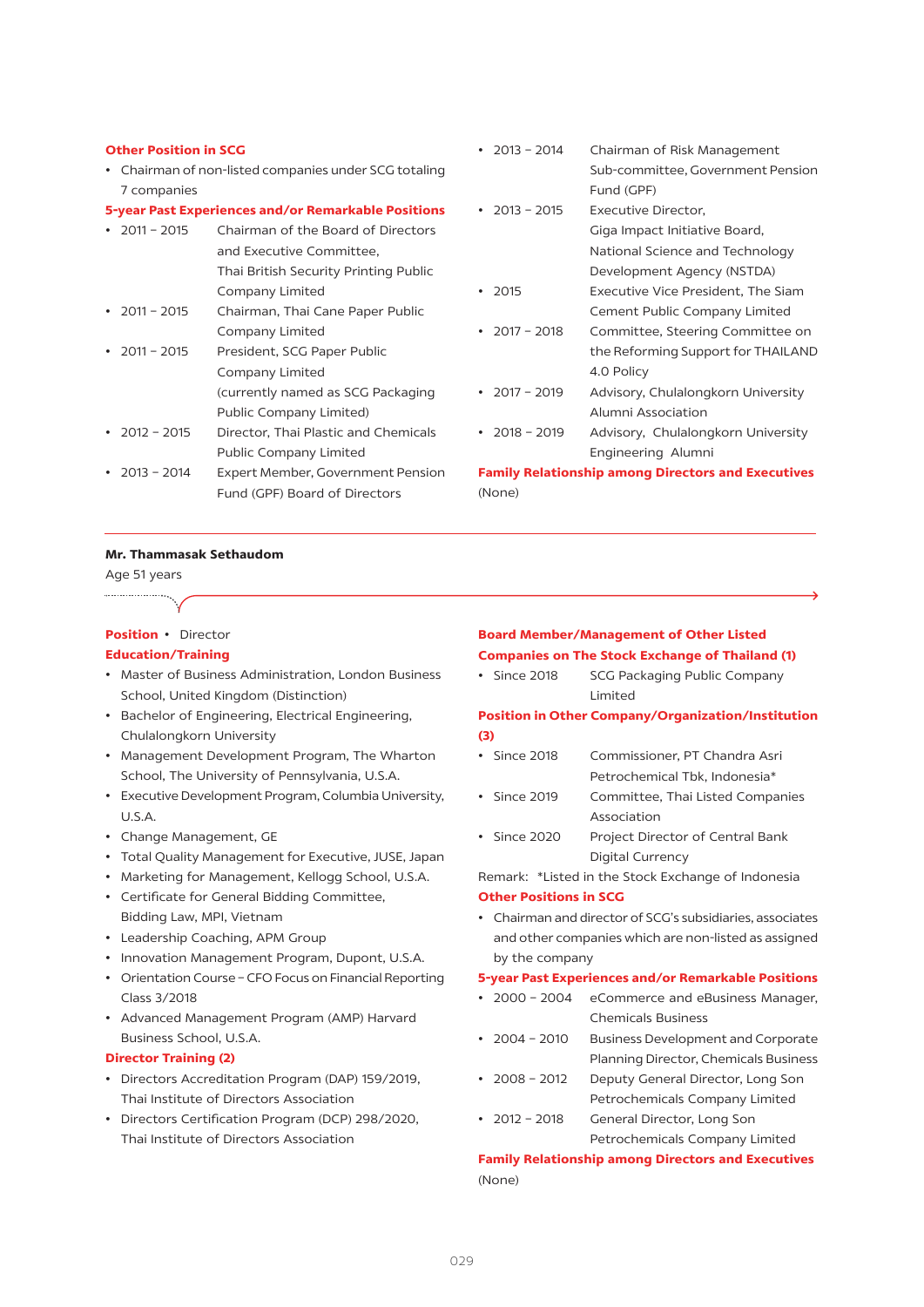#### **Other Position in SCG**

• Chairman of non-listed companies under SCG totaling 7 companies

#### **5-year Past Experiences and/or Remarkable Positions**

| • $2011 - 2015$ | Chairman of the Board of Directors    |
|-----------------|---------------------------------------|
|                 | and Executive Committee.              |
|                 | Thai British Security Printing Public |
|                 | Company Limited                       |
| • $2011 - 2015$ | Chairman, Thai Cane Paper Public      |
|                 | Company Limited                       |
| • $2011 - 2015$ | President, SCG Paper Public           |
|                 | Company Limited                       |
|                 | (currently named as SCG Packaging     |
|                 | Public Company Limited)               |
| • $2012 - 2015$ | Director, Thai Plastic and Chemicals  |
|                 | <b>Public Company Limited</b>         |
| • $2013 - 2014$ | Expert Member, Government Pension     |
|                 | Fund (GPF) Board of Directors         |

| 2013 - 2014                                               | Chairman of Risk Management        |  |
|-----------------------------------------------------------|------------------------------------|--|
|                                                           | Sub-committee, Government Pension  |  |
|                                                           | Fund (GPF)                         |  |
| $\cdot$ 2013 - 2015                                       | Executive Director.                |  |
|                                                           | Giga Impact Initiative Board,      |  |
|                                                           | National Science and Technology    |  |
|                                                           | Development Agency (NSTDA)         |  |
| $-2015$                                                   | Executive Vice President, The Siam |  |
|                                                           | Cement Public Company Limited      |  |
| • $2017 - 2018$                                           | Committee, Steering Committee on   |  |
|                                                           | the Reforming Support for THAILAND |  |
|                                                           | 4.0 Policy                         |  |
| • $2017 - 2019$                                           | Advisory, Chulalongkorn University |  |
|                                                           | Alumni Association                 |  |
| $\cdot$ 2018 - 2019                                       | Advisory, Chulalongkorn University |  |
|                                                           | Engineering Alumni                 |  |
| <b>Family Relationship among Directors and Executives</b> |                                    |  |

#### **Mr. Thammasak Sethaudom**

#### Age 51 years

#### **Position •** Director

#### **Education/Training**

- • Master of Business Administration, London Business School, United Kingdom (Distinction)
- • Bachelor of Engineering, Electrical Engineering, Chulalongkorn University
- • Management Development Program, The Wharton School, The University of Pennsylvania, U.S.A.
- Executive Development Program, Columbia University, U.S.A.
- • Change Management, GE
- • Total Quality Management for Executive, JUSE, Japan
- Marketing for Management, Kellogg School, U.S.A.
- • Certificate for General Bidding Committee, Bidding Law, MPI, Vietnam
- • Leadership Coaching, APM Group
- • Innovation Management Program, Dupont, U.S.A.
- • Orientation Course CFO Focus on Financial Reporting Class 3/2018
- • Advanced Management Program (AMP) Harvard Business School, U.S.A.

#### **Director Training (2)**

- • Directors Accreditation Program (DAP) 159/2019, Thai Institute of Directors Association
- • Directors Certification Program (DCP) 298/2020, Thai Institute of Directors Association

#### **Board Member/Management of Other Listed Companies on The Stock Exchange of Thailand (1)**

• Since 2018 SCG Packaging Public Company Limited

## **Position in Other Company/Organization/Institution (3)**

- Since 2018 Commissioner, PT Chandra Asri Petrochemical Tbk, Indonesia\*
- Since 2019 Committee, Thai Listed Companies Association
- Since 2020 Project Director of Central Bank Digital Currency

Remark: \*Listed in the Stock Exchange of Indonesia

## **Other Positions in SCG**

(None)

• Chairman and director of SCG's subsidiaries, associates and other companies which are non-listed as assigned by the company

#### **5-year Past Experiences and/or Remarkable Positions**

- 2000 2004 eCommerce and eBusiness Manager, Chemicals Business
- 2004 2010 Business Development and Corporate Planning Director, Chemicals Business
- 2008 2012 Deputy General Director, Long Son Petrochemicals Company Limited
- 2012 2018 General Director, Long Son Petrochemicals Company Limited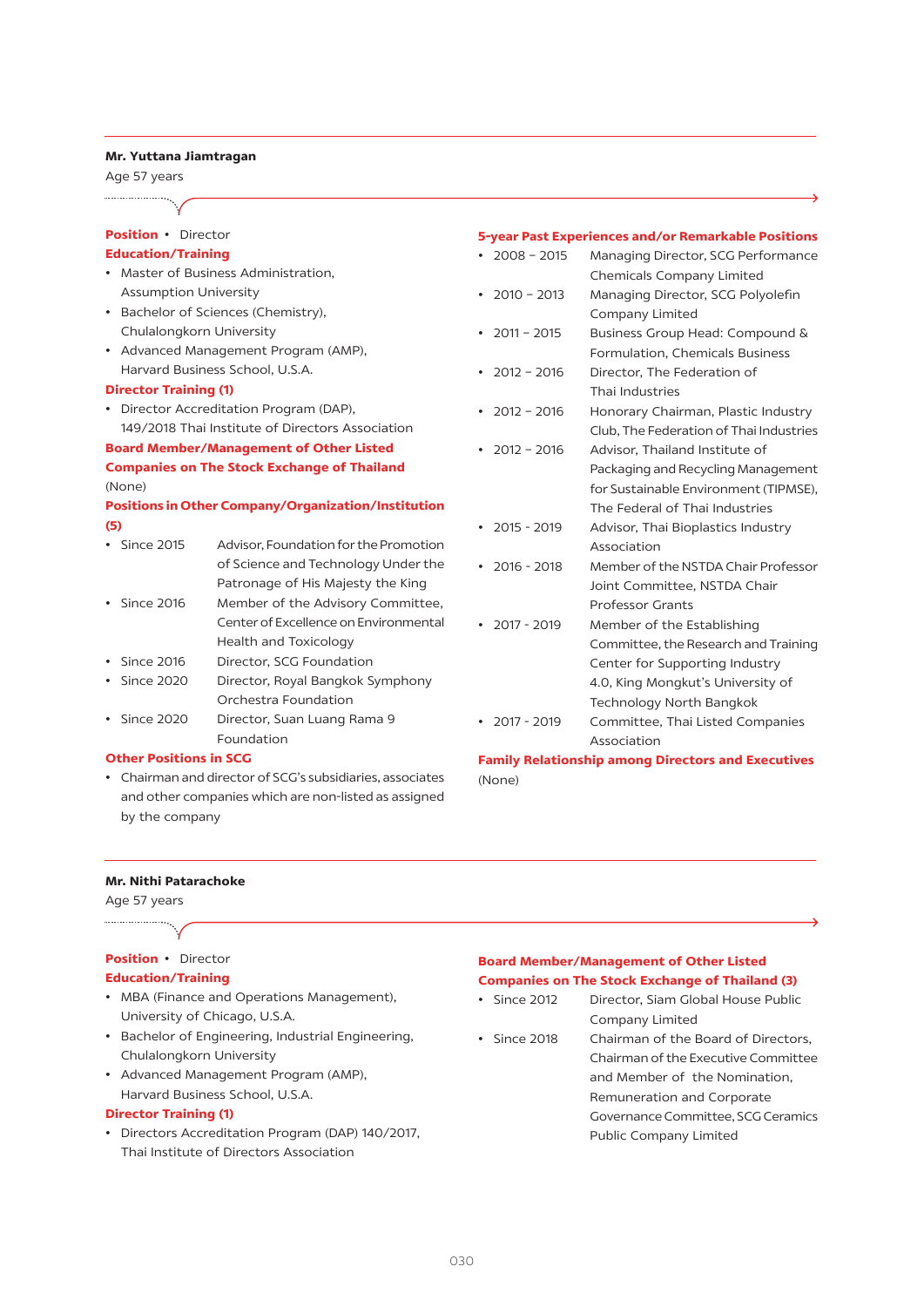#### **Mr. Yuttana Jiamtragan**

Age 57 years

#### **Position •** Director

#### **Education/Training**

- • Master of Business Administration, Assumption University
- • Bachelor of Sciences (Chemistry), Chulalongkorn University
- • Advanced Management Program (AMP), Harvard Business School, U.S.A.

#### **Director Training (1)**

• Director Accreditation Program (DAP), 149/2018 Thai Institute of Directors Association **Board Member/Management of Other Listed** 

## **Companies on The Stock Exchange of Thailand**  (None)

## **Positions in Other Company/Organization/Institution (5)**

- • Since 2015 Advisor, Foundation forthe Promotion of Science and Technology Under the Patronage of His Majesty the King
- Since 2016 Member of the Advisory Committee, Center of Excellence on Environmental Health and Toxicology
- • Since 2016 Director, SCG Foundation
- Since 2020 Director, Royal Bangkok Symphony Orchestra Foundation
- Since 2020 Director, Suan Luang Rama 9 Foundation

## **Other Positions in SCG**

• Chairman and director of SCG's subsidiaries, associates and other companies which are non-listed as assigned by the company

#### **5-year Past Experiences and/or Remarkable Positions**

| $2008 - 2015$                                      | Managing Director, SCG Performance      |
|----------------------------------------------------|-----------------------------------------|
|                                                    | Chemicals Company Limited               |
|                                                    |                                         |
| $2010 - 2013$                                      | Managing Director, SCG Polyolefin       |
|                                                    | Company Limited                         |
| $2011 - 2015$                                      | Business Group Head: Compound &         |
|                                                    | Formulation, Chemicals Business         |
| $2012 - 2016$                                      | Director, The Federation of             |
|                                                    | Thai Industries                         |
| $2012 - 2016$                                      | Honorary Chairman, Plastic Industry     |
|                                                    | Club, The Federation of Thai Industries |
| $2012 - 2016$                                      | Advisor, Thailand Institute of          |
|                                                    | Packaging and Recycling Management      |
|                                                    | for Sustainable Environment (TIPMSE),   |
|                                                    | The Federal of Thai Industries          |
| $2015 - 2019$                                      | Advisor, Thai Bioplastics Industry      |
|                                                    | Association                             |
| 2016 - 2018                                        | Member of the NSTDA Chair Professor     |
|                                                    | Joint Committee, NSTDA Chair            |
|                                                    | <b>Professor Grants</b>                 |
| $2017 - 2019$                                      | Member of the Establishing              |
|                                                    |                                         |
|                                                    | Committee, the Research and Training    |
|                                                    | Center for Supporting Industry          |
|                                                    | 4.0, King Mongkut's University of       |
|                                                    | <b>Technology North Bangkok</b>         |
| $2017 - 2019$                                      | Committee, Thai Listed Companies        |
|                                                    | Association                             |
| $\mathbf{r}$ , and $\mathbf{r}$ , and $\mathbf{r}$ |                                         |

**Family Relationship among Directors and Executives** (None)

#### **Mr. Nithi Patarachoke**

Age 57 years ....................

## **Position** • Director

#### **Education/Training**

- MBA (Finance and Operations Management), University of Chicago, U.S.A.
- • Bachelor of Engineering, Industrial Engineering, Chulalongkorn University
- • Advanced Management Program (AMP), Harvard Business School, U.S.A.

#### **Director Training (1)**

• Directors Accreditation Program (DAP) 140/2017, Thai Institute of Directors Association

## **Board Member/Management of Other Listed Companies on The Stock Exchange of Thailand (3)**

- Since 2012 Director, Siam Global House Public
- Company Limited • Since 2018 Chairman of the Board of Directors, Chairman of the Executive Committee and Member of the Nomination, Remuneration and Corporate Governance Committee, SCG Ceramics Public Company Limited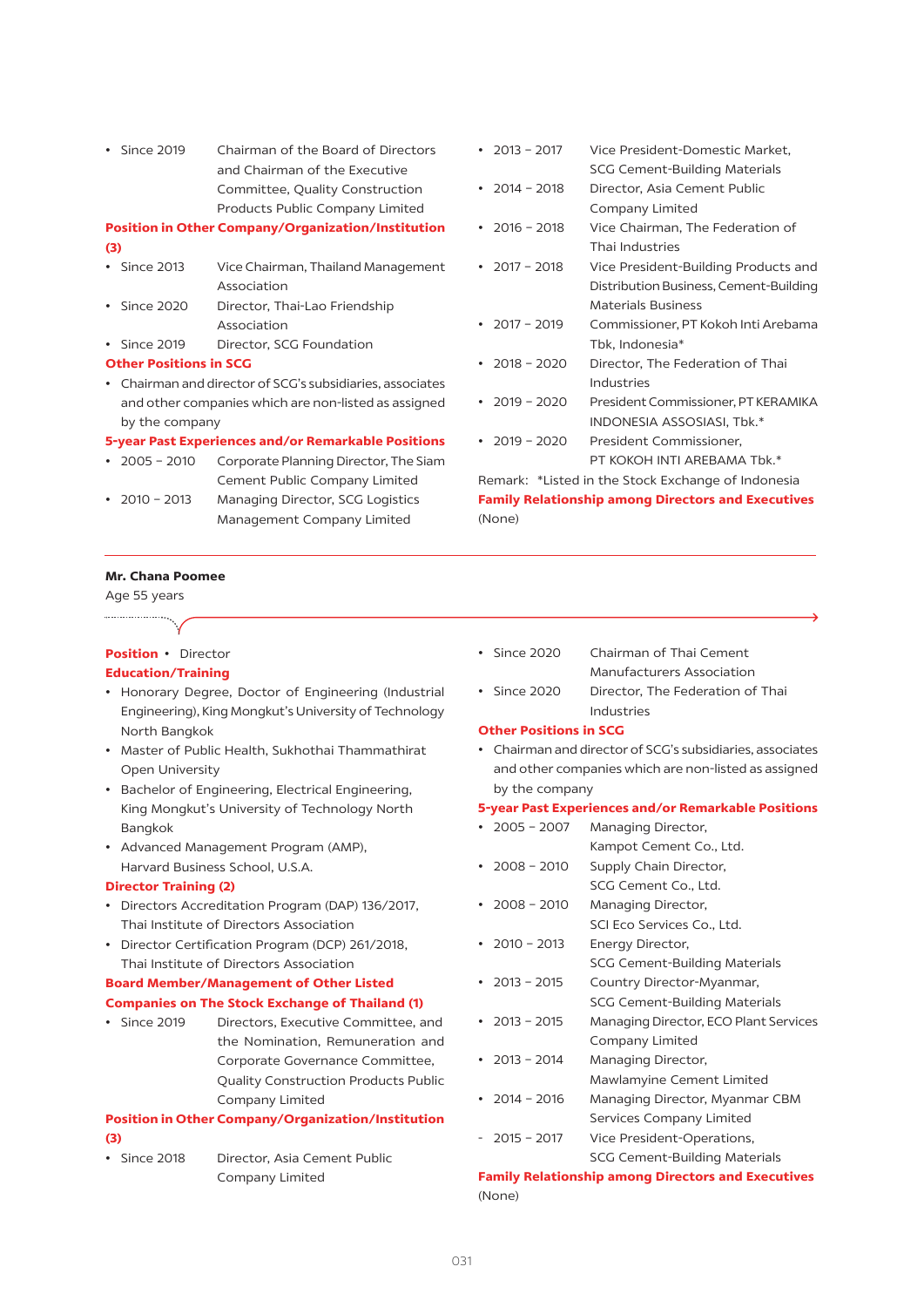• Since 2019 Chairman of the Board of Directors and Chairman of the Executive Committee, Quality Construction Products Public Company Limited

## **Position in Other Company/Organization/Institution (3)**

- Since 2013 Vice Chairman, Thailand Management Association
- Since 2020 Director, Thai-Lao Friendship Association
- • Since 2019 Director, SCG Foundation

#### **Other Positions in SCG**

• Chairman and director of SCG's subsidiaries, associates and other companies which are non-listed as assigned by the company

#### **5-year Past Experiences and/or Remarkable Positions**

- 2005 2010 Corporate Planning Director, The Siam Cement Public Company Limited
- 2010 2013 Managing Director, SCG Logistics Management Company Limited
- 2013 2017 Vice President-Domestic Market. SCG Cement-Building Materials
- • 2014 2018 Director, Asia Cement Public Company Limited
- 2016 2018 Vice Chairman, The Federation of Thai Industries
- 2017 2018 Vice President-Building Products and Distribution Business, Cement-Building Materials Business
- • 2017 2019 Commissioner, PT Kokoh Inti Arebama Tbk, Indonesia\*
- 2018 2020 Director, The Federation of Thai Industries
- 2019 2020 President Commissioner, PT KERAMIKA INDONESIA ASSOSIASI, Tbk.\*
- 2019 2020 President Commissioner. PT KOKOH INTI AREBAMA Tbk.\*

Remark: \*Listed in the Stock Exchange of Indonesia **Family Relationship among Directors and Executives**  (None)

## **Mr. Chana Poomee**

Age 55 years 

# **Position** • Director

## **Education/Training**

- • Honorary Degree, Doctor of Engineering (Industrial Engineering), King Mongkut'sUniversity of Technology North Bangkok
- • Master of Public Health, Sukhothai Thammathirat Open University
- • Bachelor of Engineering, Electrical Engineering, King Mongkut's University of Technology North Bangkok
- • Advanced Management Program (AMP), Harvard Business School, U.S.A.

#### **Director Training (2)**

- • Directors Accreditation Program (DAP) 136/2017, Thai Institute of Directors Association
- • Director Certification Program (DCP) 261/2018, Thai Institute of Directors Association

## **Board Member/Management of Other Listed**

## **Companies on The Stock Exchange of Thailand (1)**

• Since 2019 Directors, Executive Committee, and the Nomination, Remuneration and Corporate Governance Committee, Quality Construction Products Public Company Limited

## **Position in Other Company/Organization/Institution (3)**

• Since 2018 Director, Asia Cement Public Company Limited

- Since 2020 Chairman of Thai Cement Manufacturers Association
- • Since 2020 Director, The Federation of Thai Industries

## **Other Positions in SCG**

• Chairman and director of SCG's subsidiaries, associates and other companies which are non-listed as assigned by the company

#### **5-year Past Experiences and/or Remarkable Positions**

• 2005 - 2007 Managing Director, Kampot Cement Co., Ltd. • 2008 - 2010 Supply Chain Director, SCG Cement Co., Ltd. • 2008 - 2010 Managing Director, SCI Eco Services Co., Ltd. • 2010 - 2013 Energy Director, SCG Cement-Building Materials • 2013 - 2015 Country Director-Myanmar, SCG Cement-Building Materials • 2013 - 2015 Managing Director, ECO Plant Services Company Limited • 2013 - 2014 Managing Director, Mawlamyine Cement Limited • 2014 - 2016 Managing Director, Myanmar CBM Services Company Limited - 2015 - 2017 Vice President-Operations, SCG Cement-Building Materials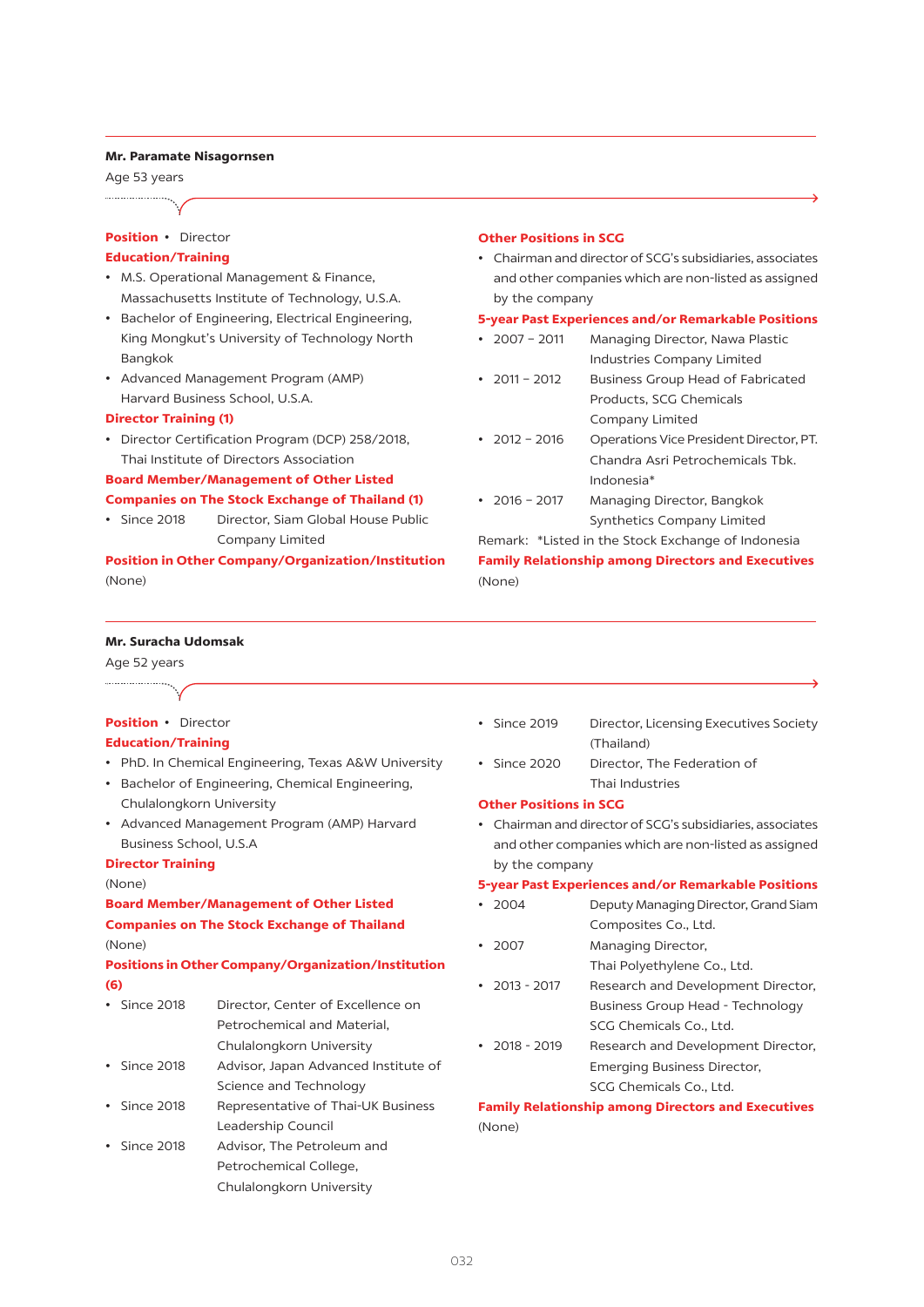#### **Mr. Paramate Nisagornsen**

Age 53 years

## **Position** • Director

## **Education/Training**

- • M.S. Operational Management & Finance, Massachusetts Institute of Technology, U.S.A.
- • Bachelor of Engineering, Electrical Engineering, King Mongkut's University of Technology North Bangkok
- • Advanced Management Program (AMP) Harvard Business School, U.S.A.

### **Director Training (1)**

• Director Certification Program (DCP) 258/2018, Thai Institute of Directors Association

#### **Board Member/Management of Other Listed Companies on The Stock Exchange of Thailand (1)**

• Since 2018 Director, Siam Global House Public Company Limited

## **Position in Other Company/Organization/Institution**  (None)

#### **Other Positions in SCG**

• Chairman and director of SCG's subsidiaries, associates and other companies which are non-listed as assigned by the company

#### **5-year Past Experiences and/or Remarkable Positions**

- 2007 2011 Managing Director, Nawa Plastic Industries Company Limited
- 2011 2012 Business Group Head of Fabricated Products, SCG Chemicals Company Limited
- 2012 2016 Operations Vice President Director, PT. Chandra Asri Petrochemicals Tbk. Indonesia\*
- 2016 2017 Managing Director, Bangkok Synthetics Company Limited

Remark: \*Listed in the Stock Exchange of Indonesia **Family Relationship among Directors and Executives** (None)

## **Mr. Suracha Udomsak**

Age 52 years

## **Position** • Director **Education/Training**

- • PhD. In Chemical Engineering, Texas A&W University
- • Bachelor of Engineering, Chemical Engineering, Chulalongkorn University
- • Advanced Management Program (AMP) Harvard Business School, U.S.A

#### **Director Training**

#### (None)

**Board Member/Management of Other Listed Companies on The Stock Exchange of Thailand**  (None)

## **Positions in Other Company/Organization/Institution (6)**

- • Since 2018 Director, Center of Excellence on Petrochemical and Material, Chulalongkorn University • Since 2018 Advisor, Japan Advanced Institute of
- Science and Technology • Since 2018 Representative of Thai-UK Business
- Leadership Council • Since 2018 Advisor, The Petroleum and Petrochemical College, Chulalongkorn University
- Since 2019 Director, Licensing Executives Society (Thailand)
- Since 2020 Director, The Federation of Thai Industries

#### **Other Positions in SCG**

• Chairman and director of SCG's subsidiaries, associates and other companies which are non-listed as assigned by the company

#### **5-year Past Experiences and/or Remarkable Positions**

- 2004 Deputy Managing Director, Grand Siam Composites Co., Ltd.
- 2007 Managing Director, Thai Polyethylene Co., Ltd.
- 2013 2017 Research and Development Director, Business Group Head - Technology SCG Chemicals Co., Ltd.
- 2018 2019 Research and Development Director, Emerging Business Director, SCG Chemicals Co., Ltd.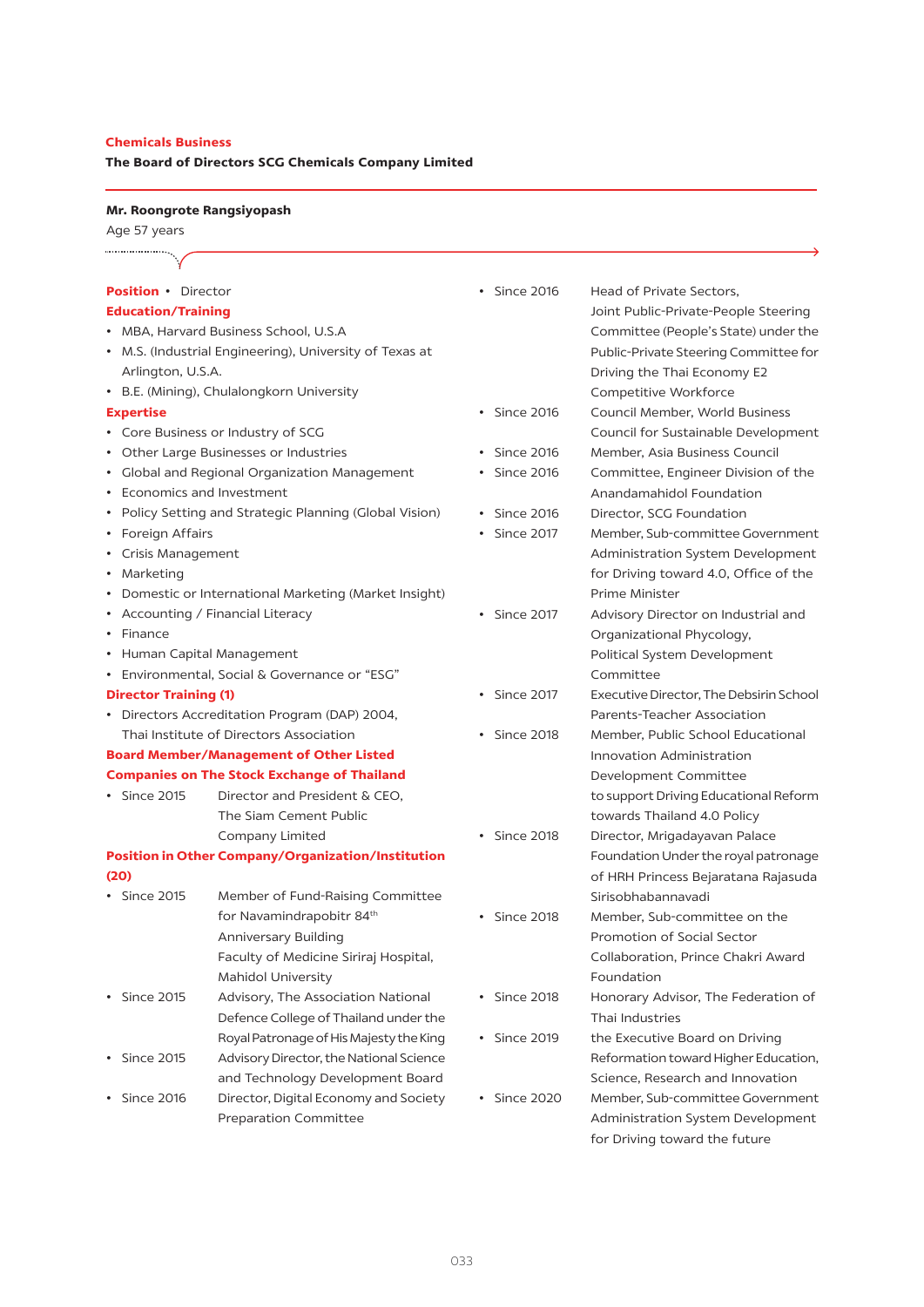## **Chemicals Business**

## **The Board of Directors SCG Chemicals Company Limited**

## **Mr. Roongrote Rangsiyopash**

Age 57 years

| <b>Position</b> • Director   |                                                           | Since 2016              | Head of Private Sectors,                |
|------------------------------|-----------------------------------------------------------|-------------------------|-----------------------------------------|
| <b>Education/Training</b>    |                                                           |                         | Joint Public-Private-People Steering    |
|                              | MBA, Harvard Business School, U.S.A                       |                         | Committee (People's State) under the    |
|                              | M.S. (Industrial Engineering), University of Texas at     |                         | Public-Private Steering Committee for   |
| Arlington, U.S.A.            |                                                           |                         | Driving the Thai Economy E2             |
|                              | • B.E. (Mining), Chulalongkorn University                 |                         | Competitive Workforce                   |
| <b>Expertise</b>             |                                                           | Since 2016<br>$\bullet$ | Council Member, World Business          |
|                              | • Core Business or Industry of SCG                        |                         | Council for Sustainable Development     |
|                              | Other Large Businesses or Industries                      | <b>Since 2016</b>       | Member, Asia Business Council           |
|                              | Global and Regional Organization Management               | <b>Since 2016</b>       | Committee, Engineer Division of the     |
|                              | <b>Economics and Investment</b>                           |                         | Anandamahidol Foundation                |
|                              | Policy Setting and Strategic Planning (Global Vision)     | Since 2016              | Director, SCG Foundation                |
| • Foreign Affairs            |                                                           | <b>Since 2017</b>       | Member, Sub-committee Government        |
| Crisis Management            |                                                           |                         | Administration System Development       |
| Marketing                    |                                                           |                         | for Driving toward 4.0, Office of the   |
|                              | Domestic or International Marketing (Market Insight)      |                         | Prime Minister                          |
|                              | Accounting / Financial Literacy                           | • Since 2017            | Advisory Director on Industrial and     |
| Finance                      |                                                           |                         | Organizational Phycology,               |
|                              | • Human Capital Management                                |                         | Political System Development            |
|                              | Environmental, Social & Governance or "ESG"               |                         | Committee                               |
| <b>Director Training (1)</b> |                                                           | Since 2017<br>$\bullet$ | Executive Director, The Debsirin School |
|                              | • Directors Accreditation Program (DAP) 2004,             |                         | Parents-Teacher Association             |
|                              | Thai Institute of Directors Association                   | Since 2018<br>$\bullet$ | Member, Public School Educational       |
|                              | <b>Board Member/Management of Other Listed</b>            |                         | Innovation Administration               |
|                              | <b>Companies on The Stock Exchange of Thailand</b>        |                         | Development Committee                   |
| $\cdot$ Since 2015           | Director and President & CEO,                             |                         | to support Driving Educational Reform   |
|                              | The Siam Cement Public                                    |                         | towards Thailand 4.0 Policy             |
|                              | Company Limited                                           | • Since 2018            | Director, Mrigadayavan Palace           |
|                              | <b>Position in Other Company/Organization/Institution</b> |                         | Foundation Under the royal patronage    |
| (20)                         |                                                           |                         | of HRH Princess Bejaratana Rajasuda     |
| • Since 2015                 | Member of Fund-Raising Committee                          |                         | Sirisobhabannavadi                      |
|                              | for Navamindrapobitr 84th                                 | Since 2018              | Member, Sub-committee on the            |
|                              | <b>Anniversary Building</b>                               |                         | Promotion of Social Sector              |
|                              | Faculty of Medicine Siriraj Hospital,                     |                         | Collaboration, Prince Chakri Award      |
|                              | Mahidol University                                        |                         | Foundation                              |
| $\cdot$ Since 2015           | Advisory, The Association National                        | <b>Since 2018</b>       | Honorary Advisor, The Federation of     |
|                              | Defence College of Thailand under the                     |                         | Thai Industries                         |
|                              | Royal Patronage of His Majesty the King                   | • Since 2019            | the Executive Board on Driving          |
| • Since 2015                 | Advisory Director, the National Science                   |                         | Reformation toward Higher Education,    |
|                              | and Technology Development Board                          |                         | Science, Research and Innovation        |
| • Since 2016                 | Director, Digital Economy and Society                     | Since 2020<br>$\bullet$ | Member, Sub-committee Government        |
|                              | <b>Preparation Committee</b>                              |                         | Administration System Development       |

 for Driving toward the future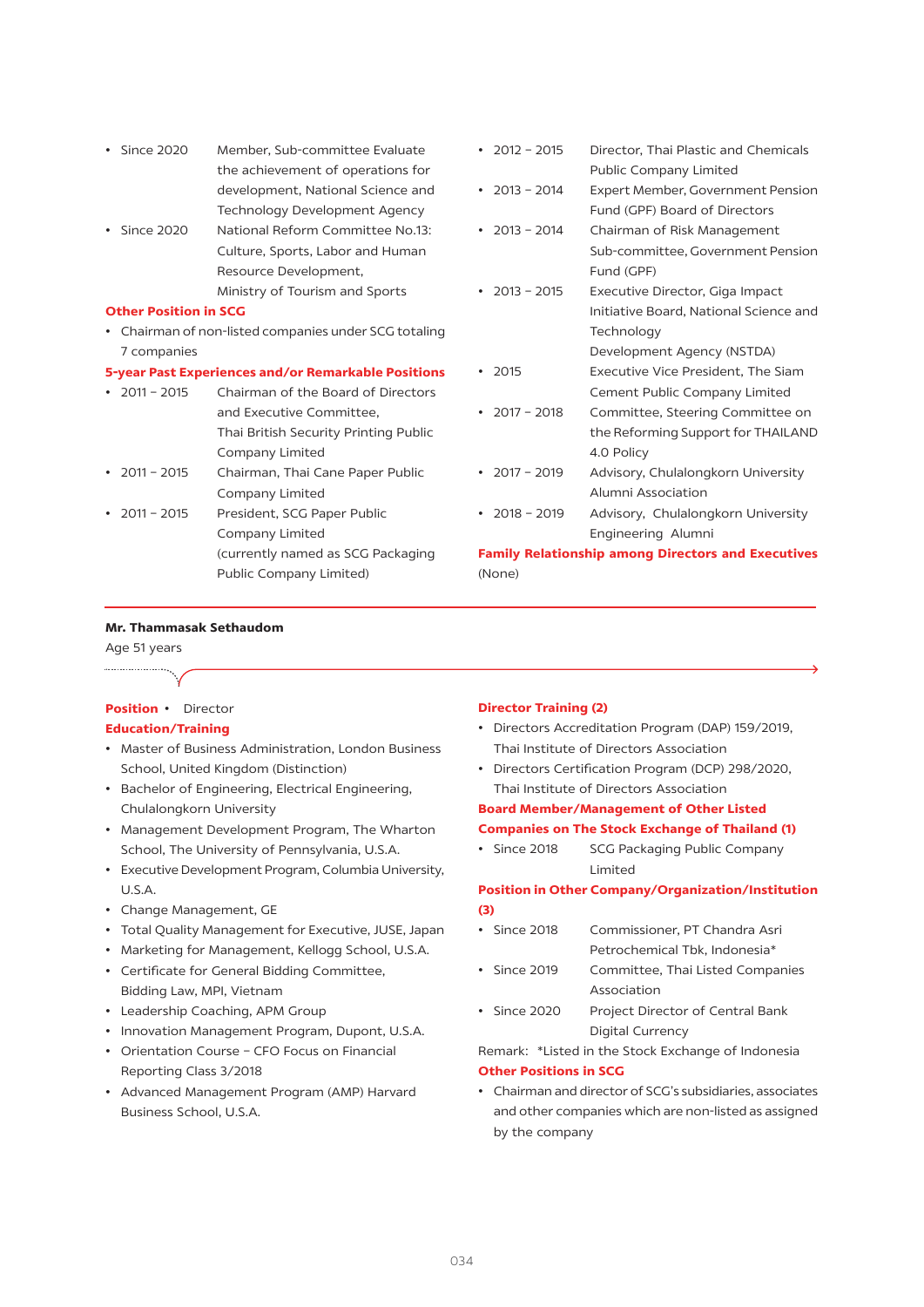- • Since 2020 Member, Sub-committee Evaluate the achievement of operations for development, National Science and Technology Development Agency
- Since 2020 National Reform Committee No.13: Culture, Sports, Labor and Human Resource Development, Ministry of Tourism and Sports

#### **Other Position in SCG**

• Chairman of non-listed companies under SCG totaling 7 companies

#### **5-year Past Experiences and/or Remarkable Positions**

| $\cdot$ 2011 - 2015 | Chairman of the Board of Directors    |
|---------------------|---------------------------------------|
|                     | and Executive Committee,              |
|                     | Thai British Security Printing Public |
|                     | Company Limited                       |
| • $2011 - 2015$     | Chairman, Thai Cane Paper Public      |
|                     | Company Limited                       |
| • $2011 - 2015$     | President, SCG Paper Public           |
|                     | Company Limited                       |
|                     | (currently named as SCG Packaging     |
|                     | Public Company Limited)               |

| $2012 - 2015$ | Director, Thai Plastic and Chemicals   |
|---------------|----------------------------------------|
|               | Public Company Limited                 |
| $2013 - 2014$ | Expert Member, Government Pension      |
|               | Fund (GPF) Board of Directors          |
| $2013 - 2014$ | Chairman of Risk Management            |
|               | Sub-committee, Government Pension      |
|               | Fund (GPF)                             |
| $2013 - 2015$ | Executive Director, Giga Impact        |
|               | Initiative Board, National Science and |
|               | Technology                             |
|               | Development Agency (NSTDA)             |
| 2015          | Executive Vice President, The Siam     |
|               | Cement Public Company Limited          |
| $2017 - 2018$ | Committee, Steering Committee on       |
|               | the Reforming Support for THAILAND     |
|               | 4.0 Policy                             |
| $2017 - 2019$ | Advisory, Chulalongkorn University     |
|               | Alumni Association                     |
| $2018 - 2019$ | Advisory, Chulalongkorn University     |

 Engineering Alumni

**Family Relationship among Directors and Executives**  (None)

#### **Mr. Thammasak Sethaudom**

Age 51 years

....................

## **Position** • Director

#### **Education/Training**

- • Master of Business Administration, London Business School, United Kingdom (Distinction)
- • Bachelor of Engineering, Electrical Engineering, Chulalongkorn University
- • Management Development Program, The Wharton School, The University of Pennsylvania, U.S.A.
- Executive Development Program, Columbia University, U.S.A.
- • Change Management, GE
- • Total Quality Management for Executive, JUSE, Japan
- Marketing for Management, Kellogg School, U.S.A. • Certificate for General Bidding Committee,
- Bidding Law, MPI, Vietnam
- • Leadership Coaching, APM Group
- • Innovation Management Program, Dupont, U.S.A.
- • Orientation Course CFO Focus on Financial Reporting Class 3/2018
- • Advanced Management Program (AMP) Harvard Business School, U.S.A.

#### **Director Training (2)**

- • Directors Accreditation Program (DAP) 159/2019, Thai Institute of Directors Association
- • Directors Certification Program (DCP) 298/2020, Thai Institute of Directors Association

## **Board Member/Management of Other Listed Companies on The Stock Exchange of Thailand (1)**

• Since 2018 SCG Packaging Public Company Limited

## **Position in Other Company/Organization/Institution (3)**

- • Since 2018 Commissioner, PT Chandra Asri Petrochemical Tbk, Indonesia\*
- Since 2019 Committee, Thai Listed Companies Association
- Since 2020 Project Director of Central Bank Digital Currency

Remark: \*Listed in the Stock Exchange of Indonesia

## **Other Positions in SCG**

• Chairman and director of SCG's subsidiaries, associates and other companies which are non-listed as assigned by the company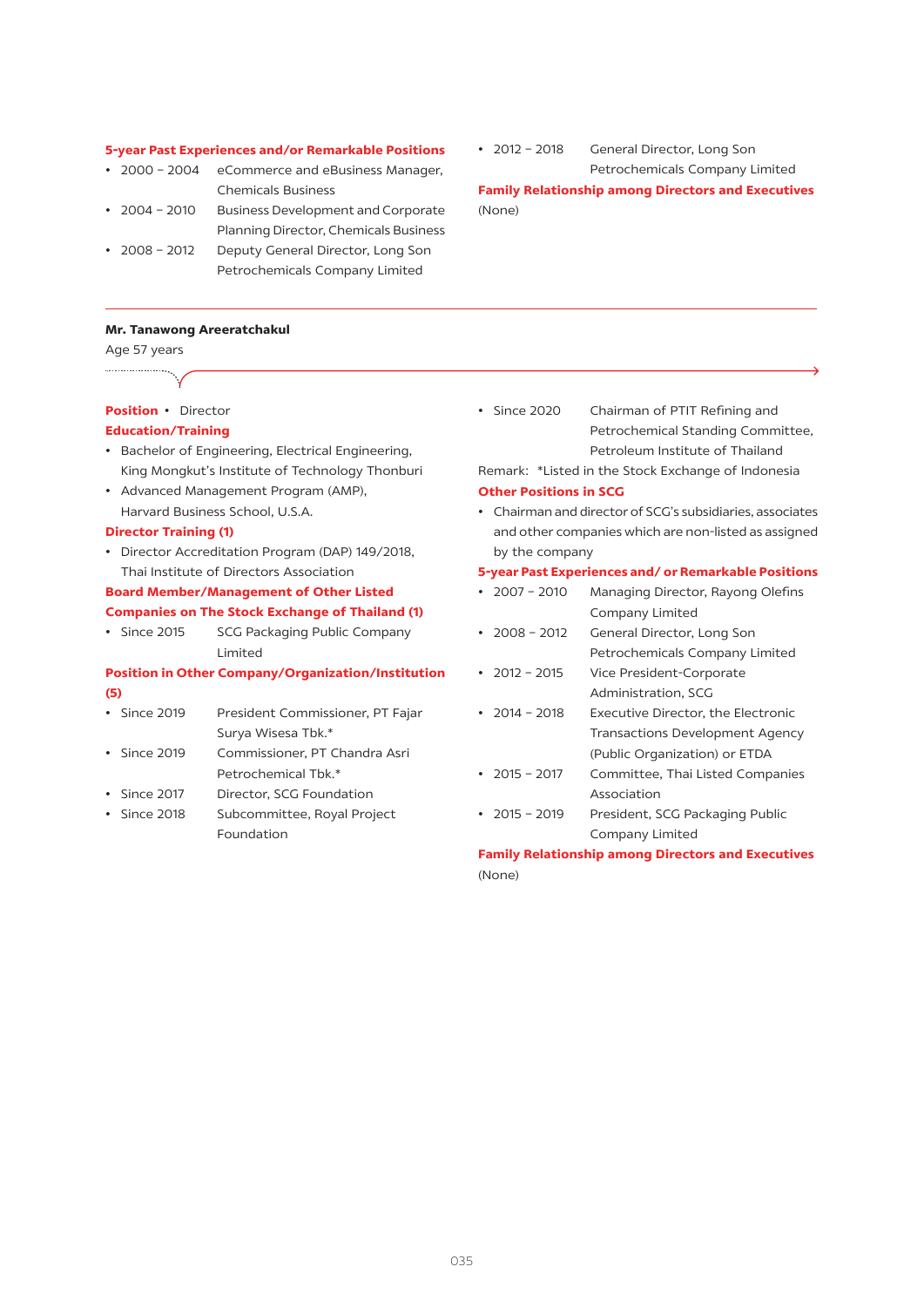#### **5-year Past Experiences and/or Remarkable Positions**

- 2000 2004 eCommerce and eBusiness Manager, Chemicals Business
- • 2004 2010 Business Development and Corporate Planning Director, Chemicals Business
- 2008 2012 Deputy General Director, Long Son Petrochemicals Company Limited

#### **Mr. Tanawong Areeratchakul**

Age 57 years

#### **Position** • Director

#### **Education/Training**

- • Bachelor of Engineering, Electrical Engineering, King Mongkut's Institute of Technology Thonburi
- • Advanced Management Program (AMP), Harvard Business School, U.S.A.

#### **Director Training (1)**

• Director Accreditation Program (DAP) 149/2018, Thai Institute of Directors Association

## **Board Member/Management of Other Listed Companies on The Stock Exchange of Thailand (1)**

• Since 2015 SCG Packaging Public Company Limited

## **Position in Other Company/Organization/Institution (5)**

- • Since 2019 President Commissioner, PT Fajar Surya Wisesa Tbk.\*
- Since 2019 Commissioner, PT Chandra Asri Petrochemical Tbk.\*
- Since 2017 Director, SCG Foundation
- • Since 2018 Subcommittee, Royal Project Foundation

• 2012 – 2018 General Director, Long Son Petrochemicals Company Limited **Family Relationship among Directors and Executives**

(None)

• Since 2020 Chairman of PTIT Refining and Petrochemical Standing Committee, Petroleum Institute of Thailand

Remark: \*Listed in the Stock Exchange of Indonesia **Other Positions in SCG**

• Chairman and director of SCG's subsidiaries, associates and other companies which are non-listed as assigned by the company

#### **5-year Past Experiences and/ or Remarkable Positions**

- 2007 2010 Managing Director, Rayong Olefins Company Limited • 2008 - 2012 General Director, Long Son Petrochemicals Company Limited • 2012 – 2015 Vice President-Corporate Administration, SCG • 2014 - 2018 Executive Director, the Electronic Transactions Development Agency (Public Organization) or ETDA • 2015 - 2017 Committee, Thai Listed Companies Association
- 2015 2019 President, SCG Packaging Public Company Limited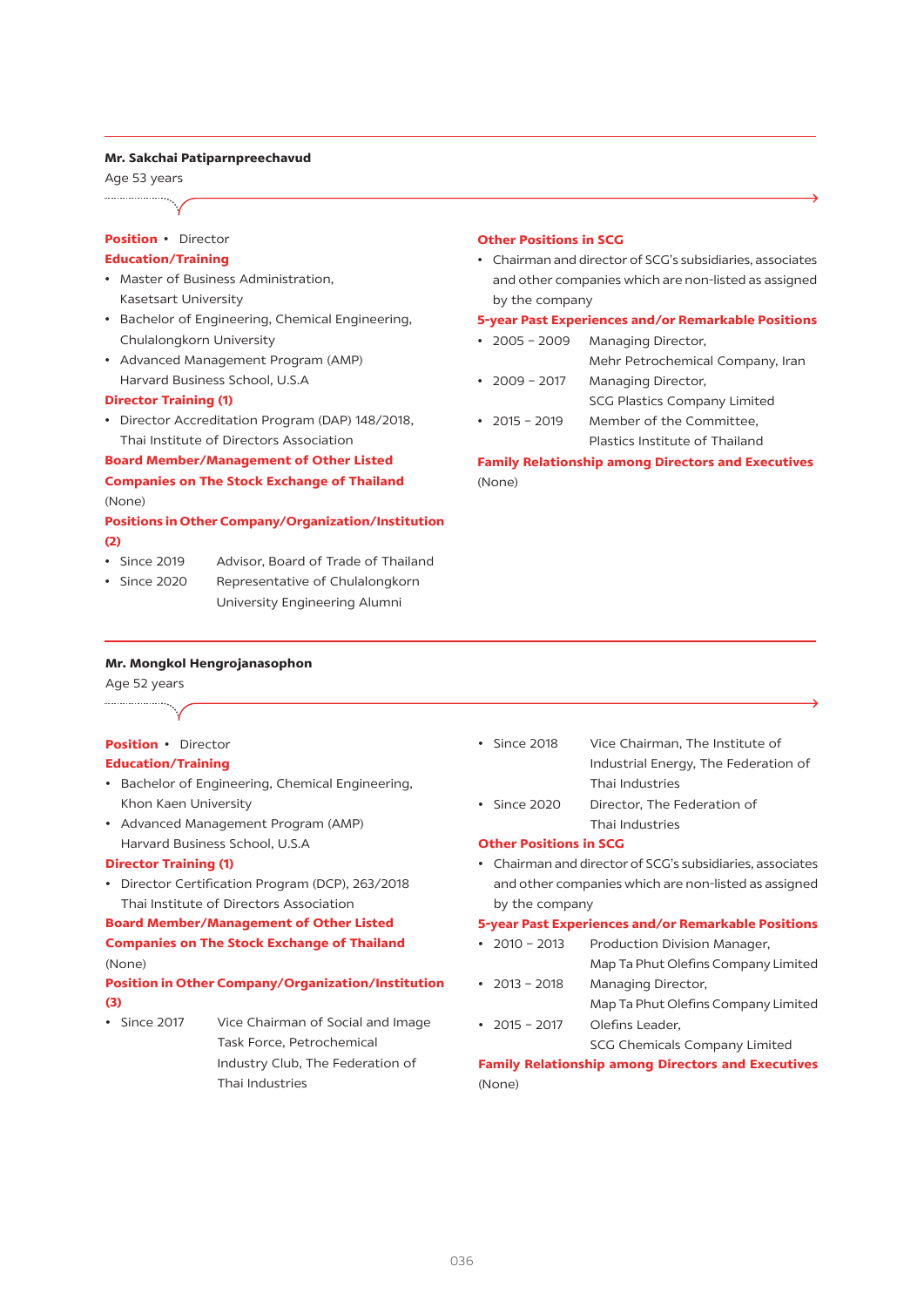#### **Mr. Sakchai Patiparnpreechavud**

Age 53 years

## **Position** • Director

## **Education/Training**

- • Master of Business Administration, Kasetsart University
- • Bachelor of Engineering, Chemical Engineering, Chulalongkorn University
- • Advanced Management Program (AMP) Harvard Business School, U.S.A

#### **Director Training (1)**

• Director Accreditation Program (DAP) 148/2018, Thai Institute of Directors Association

## **Board Member/Management of Other Listed Companies on The Stock Exchange of Thailand**  (None)

## **Positions in Other Company/Organization/Institution (2)**

- Since 2019 Advisor, Board of Trade of Thailand
- Since 2020 Representative of Chulalongkorn University Engineering Alumni

#### **Other Positions in SCG**

• Chairman and director of SCG's subsidiaries, associates and other companies which are non-listed as assigned by the company

#### **5-year Past Experiences and/or Remarkable Positions**

- 2005 2009 Managing Director, Mehr Petrochemical Company, Iran
- 2009 2017 Managing Director, SCG Plastics Company Limited
- • 2015 2019 Member of the Committee, Plastics Institute of Thailand

**Family Relationship among Directors and Executives** (None)

## **Mr. Mongkol Hengrojanasophon**

Age 52 years ....................

## **Position** • Director

#### **Education/Training**

- • Bachelor of Engineering, Chemical Engineering, Khon Kaen University
- • Advanced Management Program (AMP) Harvard Business School, U.S.A

#### **Director Training (1)**

• Director Certification Program (DCP), 263/2018 Thai Institute of Directors Association

#### **Board Member/Management of Other Listed**

## **Companies on The Stock Exchange of Thailand** (None)

## **Position in Other Company/Organization/Institution (3)**

- 
- Since 2017 Vice Chairman of Social and Image Task Force, Petrochemical Industry Club, The Federation of Thai Industries
- • Since 2018 Vice Chairman, The Institute of Industrial Energy, The Federation of Thai Industries
- • Since 2020 Director, The Federation of Thai Industries

## **Other Positions in SCG**

• Chairman and director of SCG's subsidiaries, associates and other companies which are non-listed as assigned by the company

#### **5-year Past Experiences and/or Remarkable Positions**

- 2010 2013 Production Division Manager, Map Ta Phut Olefins Company Limited
- 2013 2018 Managing Director, Map Ta Phut Olefins Company Limited
- 2015 2017 Olefins Leader,

## SCG Chemicals Company Limited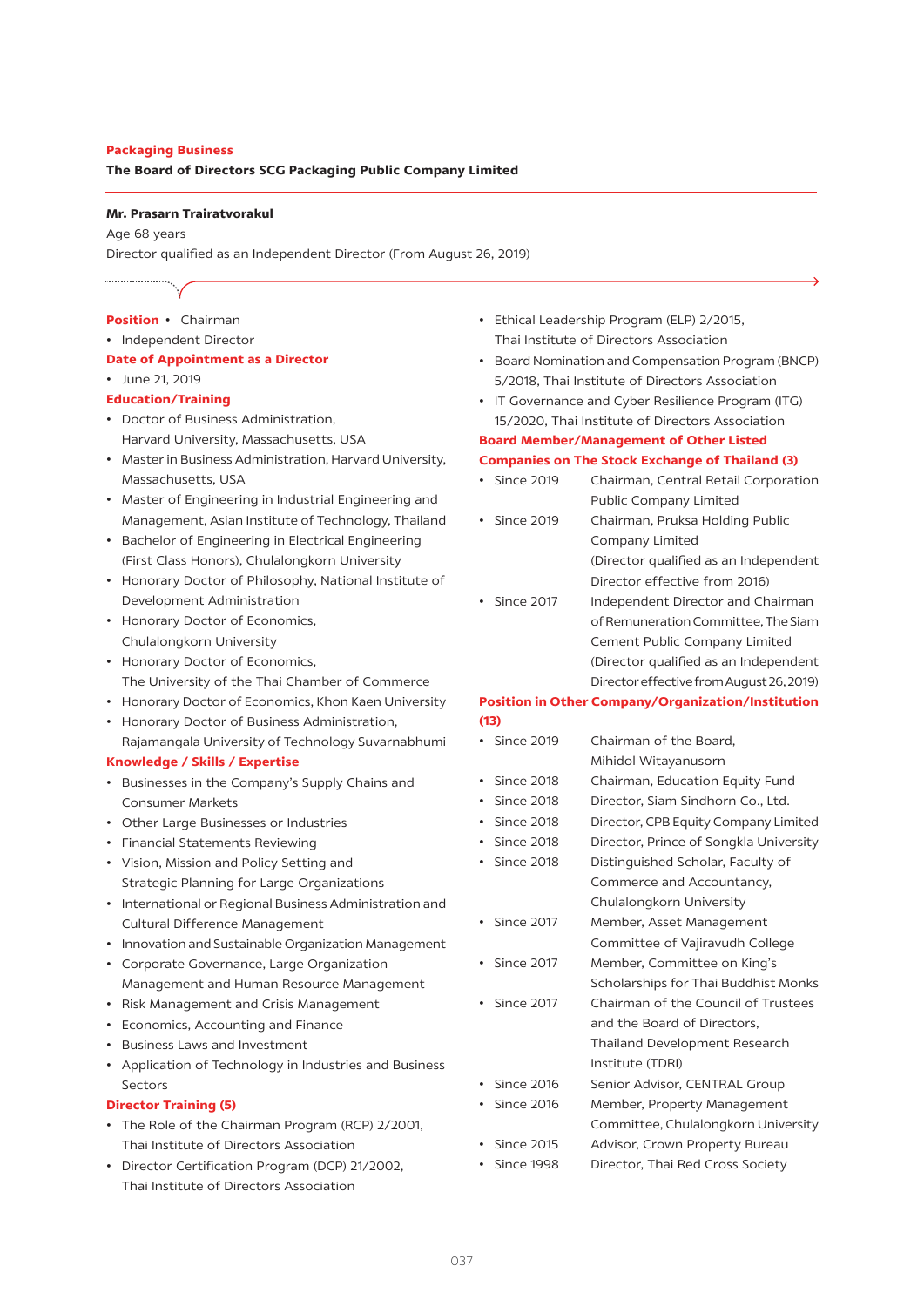#### **Packaging Business**

**The Board of Directors SCG Packaging Public Company Limited**

#### **Mr. Prasarn Trairatvorakul**

Age 68 years Director qualified as an Independent Director (From August 26, 2019)

#### **Position** • Chairman

- • Independent Director
- **Date of Appointment as a Director**
- • June 21, 2019

#### **Education/Training**

- • Doctor of Business Administration, Harvard University, Massachusetts, USA
- • Masterin Business Administration, Harvard University, Massachusetts, USA
- • Master of Engineering in Industrial Engineering and Management, Asian Institute of Technology, Thailand
- • Bachelor of Engineering in Electrical Engineering (First Class Honors), Chulalongkorn University
- • Honorary Doctor of Philosophy, National Institute of Development Administration
- • Honorary Doctor of Economics, Chulalongkorn University
- • Honorary Doctor of Economics, The University of the Thai Chamber of Commerce
- • Honorary Doctor of Economics, Khon Kaen University
- • Honorary Doctor of Business Administration, Rajamangala University of Technology Suvarnabhumi

#### **Knowledge / Skills / Expertise**

- • Businesses in the Company's Supply Chains and Consumer Markets
- • Other Large Businesses or Industries
- • Financial Statements Reviewing
- • Vision, Mission and Policy Setting and Strategic Planning for Large Organizations
- • International or Regional Business Administration and Cultural Difference Management
- • Innovation and Sustainable Organization Management
- • Corporate Governance, Large Organization Management and Human Resource Management
- • Risk Management and Crisis Management
- • Economics, Accounting and Finance
- • Business Laws and Investment
- • Application of Technology in Industries and Business Sectors

#### **Director Training (5)**

- The Role of the Chairman Program (RCP) 2/2001, Thai Institute of Directors Association
- • Director Certification Program (DCP) 21/2002, Thai Institute of Directors Association
- • Ethical Leadership Program (ELP) 2/2015, Thai Institute of Directors Association
- Board Nomination and Compensation Program (BNCP) 5/2018, Thai Institute of Directors Association
- IT Governance and Cyber Resilience Program (ITG) 15/2020, Thai Institute of Directors Association **Board Member/Management of Other Listed**

## **Companies on The Stock Exchange of Thailand (3)**

- Since 2019 Chairman, Central Retail Corporation Public Company Limited
- Since 2019 Chairman, Pruksa Holding Public Company Limited (Director qualified as an Independent Director effective from 2016)
- Since 2017 Independent Director and Chairman of Remuneration Committee, The Siam Cement Public Company Limited (Director qualified as an Independent Director effective from August 26, 2019)

#### **Position in Other Company/Organization/Institution (13)**

## • Since 2019 Chairman of the Board. Mihidol Witayanusorn • Since 2018 Chairman, Education Equity Fund • Since 2018 Director, Siam Sindhorn Co., Ltd. • Since 2018 Director, CPB Equity Company Limited • Since 2018 Director, Prince of Songkla University • Since 2018 Distinguished Scholar, Faculty of Commerce and Accountancy, Chulalongkorn University • Since 2017 Member, Asset Management Committee of Vajiravudh College • Since 2017 Member, Committee on King's Scholarships for Thai Buddhist Monks • Since 2017 Chairman of the Council of Trustees and the Board of Directors, Thailand Development Research Institute (TDRI) • Since 2016 Senior Advisor, CENTRAL Group • Since 2016 Member, Property Management Committee, Chulalongkorn University • Since 2015 Advisor, Crown Property Bureau

- Since 1998 Director, Thai Red Cross Society
	-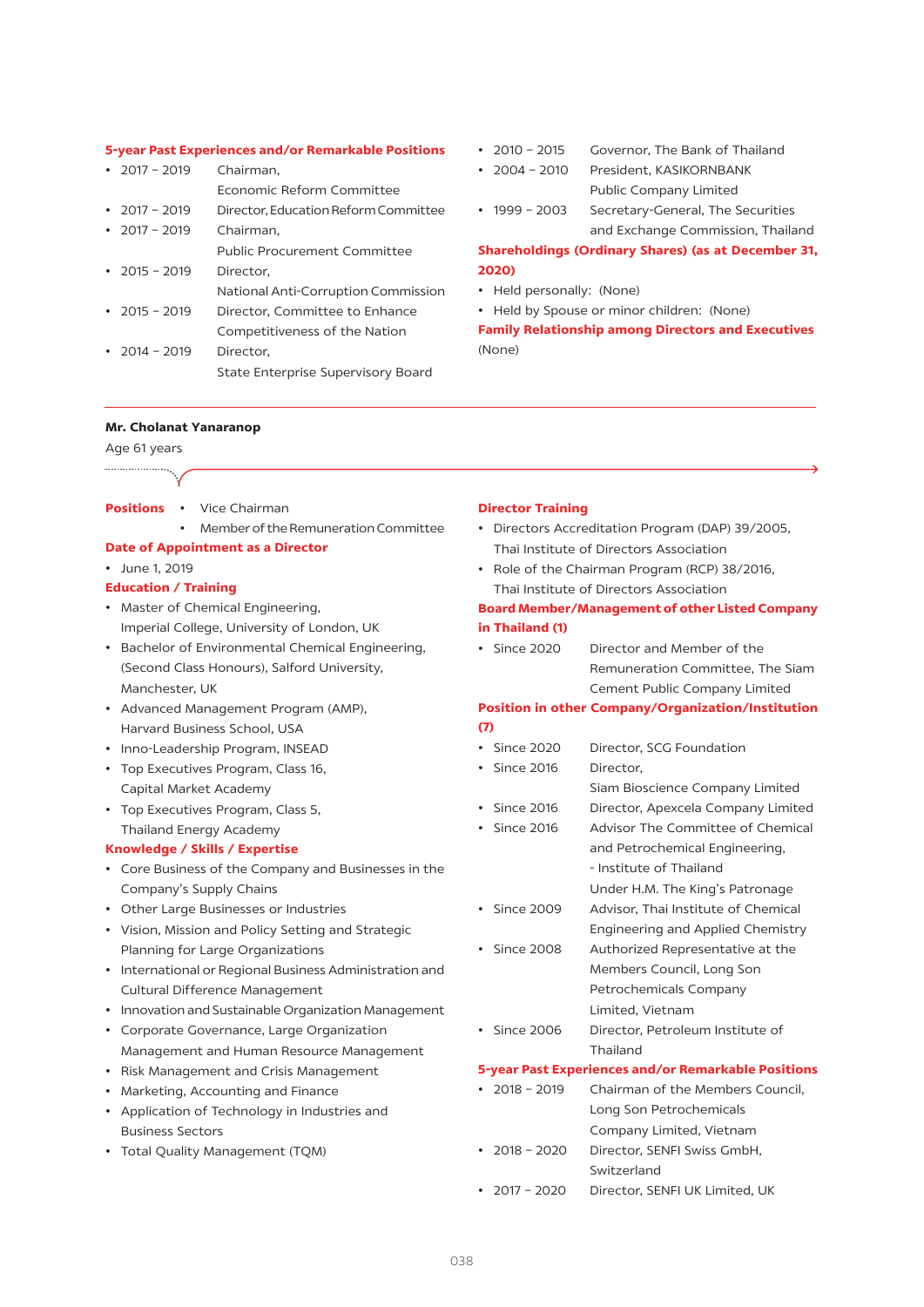#### **5-year Past Experiences and/or Remarkable Positions**

| $\cdot$ 2017 - 2019 | Chairman.                            |
|---------------------|--------------------------------------|
|                     | Economic Reform Committee            |
| $\cdot$ 2017 – 2019 | Director, Education Reform Committee |
| $\cdot$ 2017 - 2019 | Chairman,                            |
|                     | Public Procurement Committee         |
| $\cdot$ 2015 - 2019 | Director.                            |
|                     | National Anti-Corruption Commission  |
| $\cdot$ 2015 - 2019 | Director, Committee to Enhance       |
|                     | Competitiveness of the Nation        |
| $\cdot$ 2014 - 2019 | Director,                            |
|                     | State Enterprise Supervisory Board   |
|                     |                                      |

- 2010 2015 Governor, The Bank of Thailand
- • 2004 2010 President, KASIKORNBANK Public Company Limited
- 1999 2003 Secretary-General, The Securities and Exchange Commission, Thailand

### **Shareholdings (Ordinary Shares) (as at December 31, 2020)**

- • Held personally: (None)
- • Held by Spouse or minor children: (None)

**Family Relationship among Directors and Executives**  (None)

#### **Mr. Cholanat Yanaranop**

#### Age 61 years ...................

- **Positions** Vice Chairman
	- Member of the Remuneration Committee

#### **Date of Appointment as a Director**

#### • June 1, 2019

#### **Education / Training**

- • Master of Chemical Engineering, Imperial College, University of London, UK
- • Bachelor of Environmental Chemical Engineering, (Second Class Honours), Salford University, Manchester, UK
- • Advanced Management Program (AMP), Harvard Business School, USA
- • Inno-Leadership Program, INSEAD
- • Top Executives Program, Class 16, Capital Market Academy
- Top Executives Program, Class 5. Thailand Energy Academy

#### **Knowledge / Skills / Expertise**

- • Core Business of the Company and Businesses in the Company's Supply Chains
- • Other Large Businesses or Industries
- • Vision, Mission and Policy Setting and Strategic Planning for Large Organizations
- • International or Regional Business Administration and Cultural Difference Management
- • Innovation and Sustainable Organization Management
- • Corporate Governance, Large Organization Management and Human Resource Management
- • Risk Management and Crisis Management
- • Marketing, Accounting and Finance
- • Application of Technology in Industries and Business Sectors
- • Total Quality Management (TQM)

#### **Director Training**

- • Directors Accreditation Program (DAP) 39/2005, Thai Institute of Directors Association
- • Role of the Chairman Program (RCP) 38/2016, Thai Institute of Directors Association

#### **Board Member/Management of other Listed Company in Thailand (1)**

• Since 2020 Director and Member of the Remuneration Committee, The Siam Cement Public Company Limited

#### **Position in other Company/Organization/Institution (7)**

- • Since 2020 Director, SCG Foundation
- Since 2016 Director.
	- Siam Bioscience Company Limited
- Since 2016 Director, Apexcela Company Limited • Since 2016 Advisor The Committee of Chemical and Petrochemical Engineering, - Institute of Thailand
	- Under H.M. The King's Patronage
- Since 2009 Advisor, Thai Institute of Chemical Engineering and Applied Chemistry
- • Since 2008 Authorized Representative at the Members Council, Long Son Petrochemicals Company Limited, Vietnam
- • Since 2006 Director, Petroleum Institute of Thailand

## **5-year Past Experiences and/or Remarkable Positions**

- 2018 2019 Chairman of the Members Council, Long Son Petrochemicals Company Limited, Vietnam • 2018 – 2020 Director, SENFI Swiss GmbH, Switzerland
- 2017 2020 Director, SENFI UK Limited, UK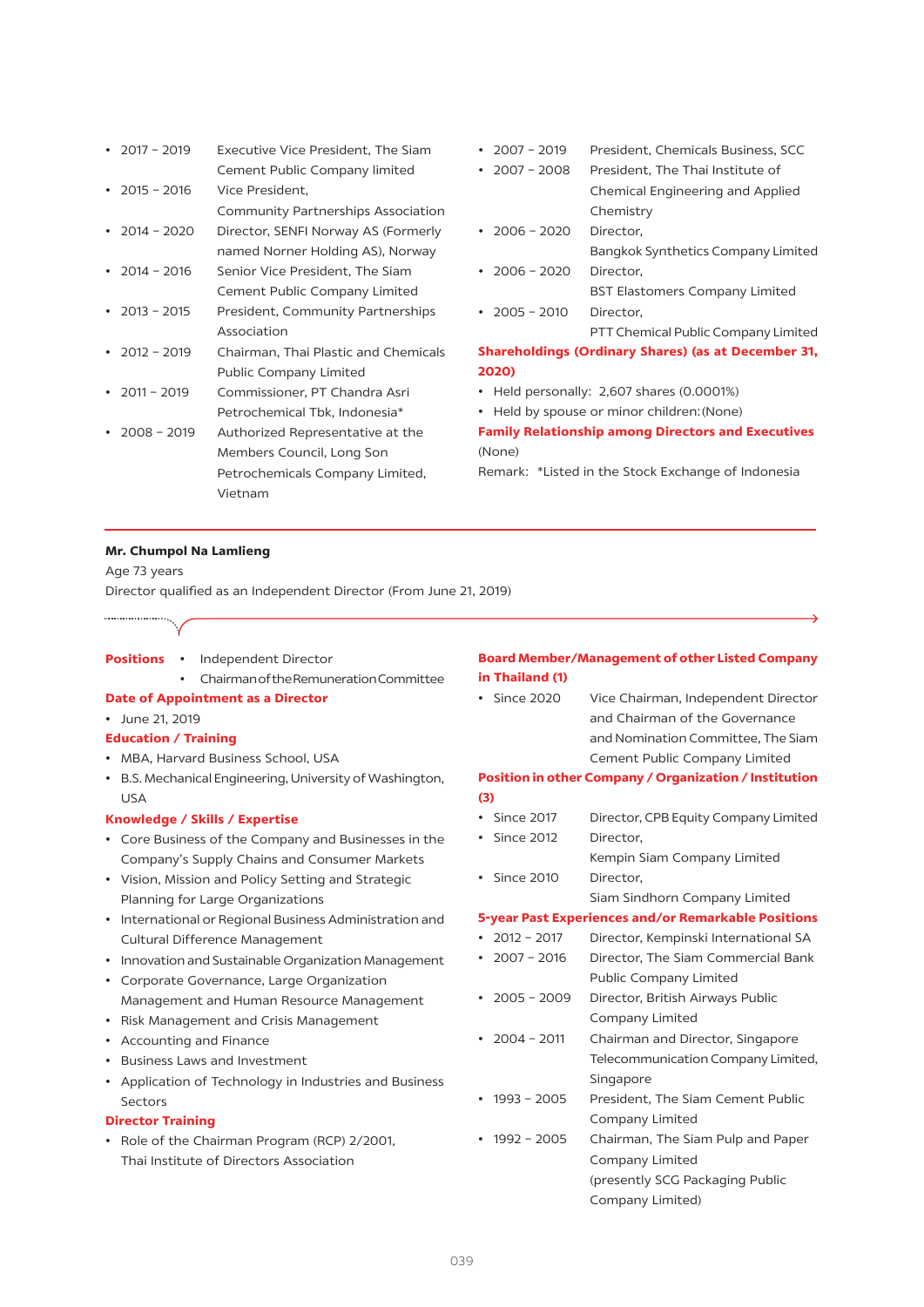| • $2017 - 2019$     | Executive Vice President, The Siam   |
|---------------------|--------------------------------------|
|                     | Cement Public Company limited        |
| $\cdot$ 2015 - 2016 | Vice President,                      |
|                     | Community Partnerships Association   |
| $\cdot$ 2014 - 2020 | Director, SENFI Norway AS (Formerly  |
|                     | named Norner Holding AS), Norway     |
| 2014 - 2016         | Senior Vice President, The Siam      |
|                     | Cement Public Company Limited        |
| $2013 - 2015$       | President, Community Partnerships    |
|                     | Association                          |
| $2012 - 2019$       | Chairman, Thai Plastic and Chemicals |
|                     | <b>Public Company Limited</b>        |
| $2011 - 2019$       | Commissioner, PT Chandra Asri        |
|                     | Petrochemical Tbk, Indonesia*        |
| $2008 - 2019$       | Authorized Representative at the     |
|                     | Members Council, Long Son            |
|                     | Petrochemicals Company Limited,      |
|                     | Vietnam                              |
|                     |                                      |

- • 2007 2019 President, Chemicals Business, SCC
- • 2007 2008 President, The Thai Institute of Chemical Engineering and Applied Chemistry
- • 2006 2020 Director, Bangkok Synthetics Company Limited
- 2006 2020 Director, BST Elastomers Company Limited
- • 2005 2010 Director,

 PTT Chemical Public Company Limited

#### **Shareholdings (Ordinary Shares) (as at December 31, 2020)**

- • Held personally: 2,607 shares (0.0001%)
- Held by spouse or minor children: (None)

## **Family Relationship among Directors and Executives**  (None)

Remark: \*Listed in the Stock Exchange of Indonesia

#### **Mr. Chumpol Na Lamlieng**

Age 73 years Director qualified as an Independent Director (From June 21, 2019)

**Positions** • Independent Director

- Chairman of the Remuneration Committee
- **Date of Appointment as a Director**
- • June 21, 2019
- **Education / Training**
- MBA, Harvard Business School, USA
- B.S. Mechanical Engineering, University of Washington, USA

#### **Knowledge / Skills / Expertise**

- • Core Business of the Company and Businesses in the Company's Supply Chains and Consumer Markets
- • Vision, Mission and Policy Setting and Strategic Planning for Large Organizations
- • International or Regional Business Administration and Cultural Difference Management
- Innovation and Sustainable Organization Management
- • Corporate Governance, Large Organization Management and Human Resource Management
- • Risk Management and Crisis Management
- • Accounting and Finance
- • Business Laws and Investment
- • Application of Technology in Industries and Business Sectors

#### **Director Training**

• Role of the Chairman Program (RCP) 2/2001, Thai Institute of Directors Association

#### **Board Member/Management of other Listed Company in Thailand (1)**

• Since 2020 Vice Chairman, Independent Director and Chairman of the Governance and Nomination Committee, The Siam Cement Public Company Limited

## **Position in other Company / Organization / Institution (3)**

- Since 2017 Director, CPB Equity Company Limited
- Since 2012 Director.
- Kempin Siam Company Limited • Since 2010 Director,

#### Siam Sindhorn Company Limited

#### **5-year Past Experiences and/or Remarkable Positions**

- • 2012 2017 Director, Kempinski International SA
- 2007 2016 Director, The Siam Commercial Bank Public Company Limited
- 2005 2009 Director, British Airways Public Company Limited
- 2004 2011 Chairman and Director, Singapore Telecommunication Company Limited, Singapore
- 1993 2005 President, The Siam Cement Public Company Limited
- 1992 2005 Chairman, The Siam Pulp and Paper Company Limited (presently SCG Packaging Public Company Limited)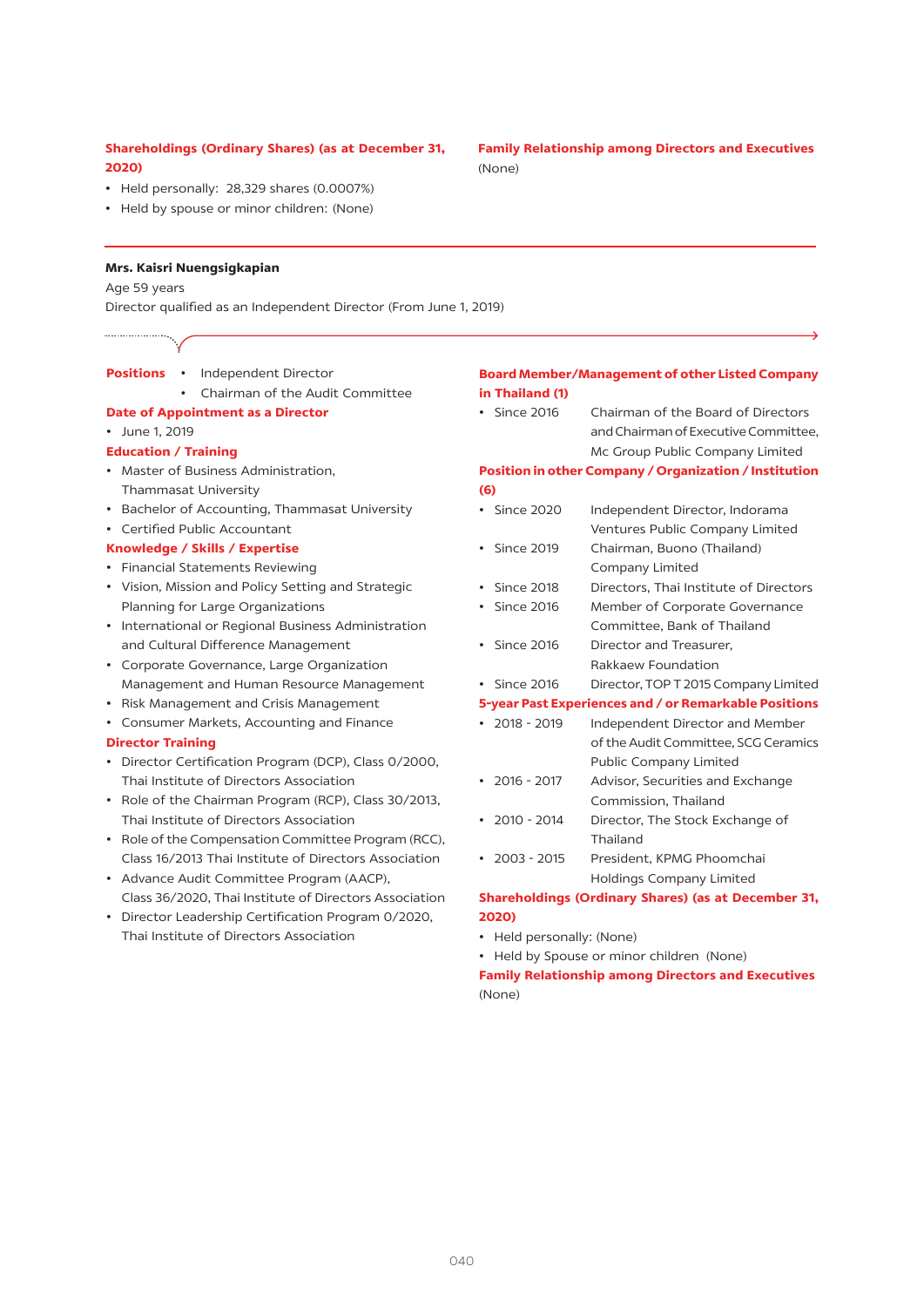## **Shareholdings (Ordinary Shares) (as at December 31, 2020)**

- • Held personally: 28,329 shares (0.0007%)
- Held by spouse or minor children: (None)

#### **Mrs. Kaisri Nuengsigkapian**

#### Age 59 years

Director qualified as an Independent Director (From June 1, 2019)

- **Positions** Independent Director
	- Chairman of the Audit Committee

#### **Date of Appointment as a Director**

#### • June 1, 2019

#### **Education / Training**

- • Master of Business Administration, Thammasat University
- • Bachelor of Accounting, Thammasat University
- • Certified Public Accountant

#### **Knowledge / Skills / Expertise**

- • Financial Statements Reviewing
- • Vision, Mission and Policy Setting and Strategic Planning for Large Organizations
- • International or Regional Business Administration and Cultural Difference Management
- • Corporate Governance, Large Organization Management and Human Resource Management
- • Risk Management and Crisis Management
- • Consumer Markets, Accounting and Finance

#### **Director Training**

- • Director Certification Program (DCP), Class 0/2000, Thai Institute of Directors Association
- Role of the Chairman Program (RCP), Class 30/2013, Thai Institute of Directors Association
- Role of the Compensation Committee Program (RCC), Class 16/2013 Thai Institute of Directors Association
- • Advance Audit Committee Program (AACP), Class 36/2020, Thai Institute of Directors Association
- • Director Leadership Certification Program 0/2020, Thai Institute of Directors Association

#### **Board Member/Management of other Listed Company in Thailand (1)**

• Since 2016 Chairman of the Board of Directors and Chairman of Executive Committee, Mc Group Public Company Limited

### **Position in other Company / Organization / Institution (6)**

- Since 2020 Independent Director, Indorama Ventures Public Company Limited
- • Since 2019 Chairman, Buono (Thailand) Company Limited
- • Since 2018 Directors, Thai Institute of Directors
- Since 2016 Member of Corporate Governance Committee, Bank of Thailand
- Since 2016 Director and Treasurer, Rakkaew Foundation
- Since 2016 Director, TOP T 2015 Company Limited

## **5-year Past Experiences and / or Remarkable Positions**

- 2018 2019 Independent Director and Member of the Audit Committee, SCG Ceramics Public Company Limited
- 2016 2017 Advisor, Securities and Exchange Commission, Thailand
- 2010 2014 Director, The Stock Exchange of Thailand
- • 2003 2015 President, KPMG Phoomchai Holdings Company Limited

## **Shareholdings (Ordinary Shares) (as at December 31, 2020)**

- • Held personally: (None)
- Held by Spouse or minor children (None)

## **Family Relationship among Directors and Executives**  (None)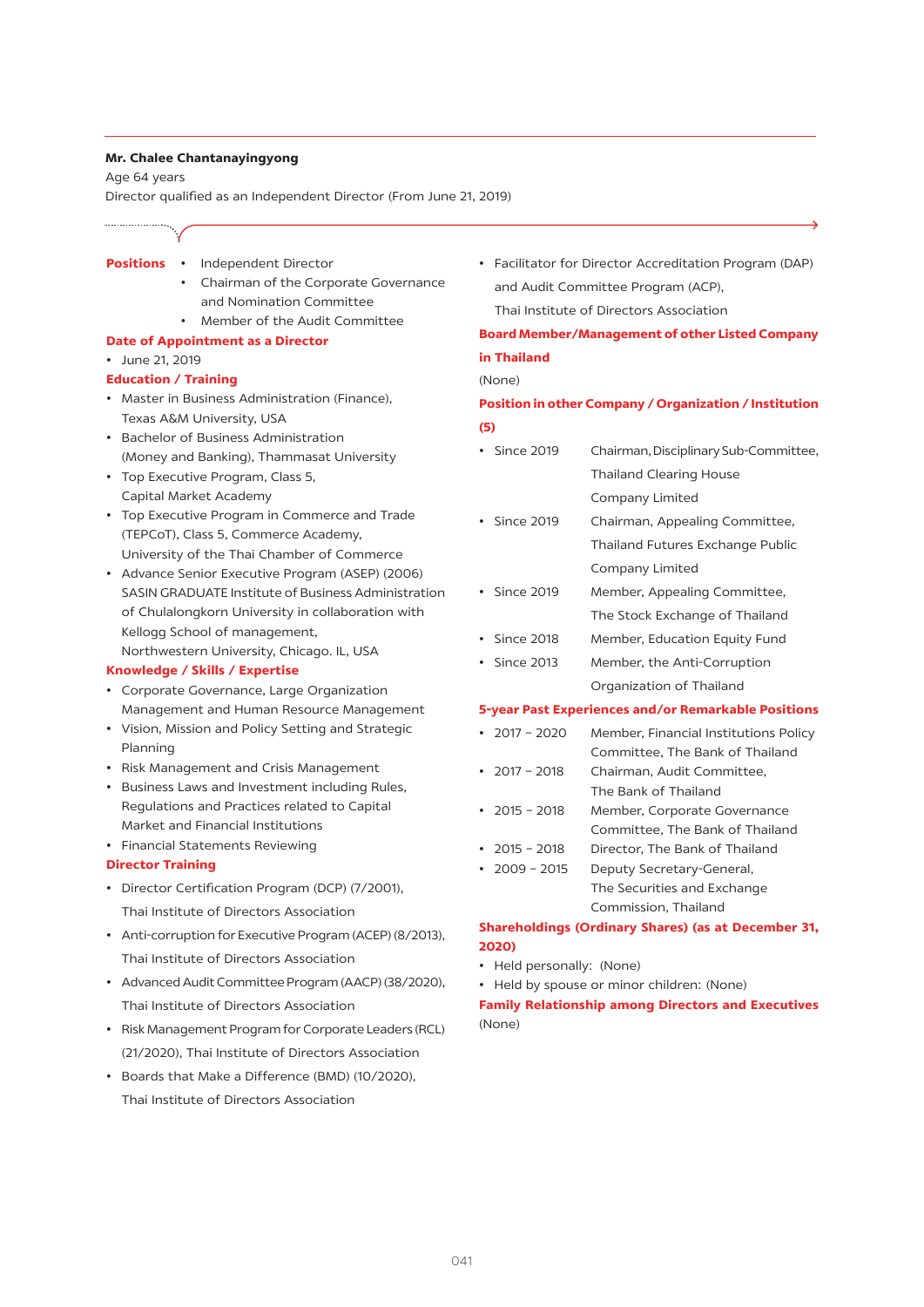#### **Mr. Chalee Chantanayingyong**

Age 64 years

Director qualified as an Independent Director (From June 21, 2019)

#### **Positions** • Independent Director

- 
- • Chairman of the Corporate Governance and Nomination Committee
- • Member of the Audit Committee

## **Date of Appointment as a Director**

• June 21, 2019

#### **Education / Training**

- • Master in Business Administration (Finance), Texas A&M University, USA
- • Bachelor of Business Administration (Money and Banking), Thammasat University
- • Top Executive Program, Class 5, Capital Market Academy
- • Top Executive Program in Commerce and Trade (TEPCoT), Class 5, Commerce Academy, University of the Thai Chamber of Commerce
- • Advance Senior Executive Program (ASEP) (2006) SASIN GRADUATE Institute of Business Administration of Chulalongkorn University in collaboration with Kellogg School of management, Northwestern University, Chicago. IL, USA

#### **Knowledge / Skills / Expertise**

- • Corporate Governance, Large Organization Management and Human Resource Management
- • Vision, Mission and Policy Setting and Strategic Planning
- • Risk Management and Crisis Management
- • Business Laws and Investment including Rules, Regulations and Practices related to Capital Market and Financial Institutions
- • Financial Statements Reviewing

#### **Director Training**

- • Director Certification Program (DCP) (7/2001), Thai Institute of Directors Association
- • Anti-corruption for Executive Program (ACEP) (8/2013), Thai Institute of Directors Association
- Advanced Audit Committee Program (AACP) (38/2020), Thai Institute of Directors Association
- Risk Management Program for Corporate Leaders (RCL) (21/2020), Thai Institute of Directors Association
- • Boards that Make a Difference (BMD) (10/2020), Thai Institute of Directors Association

• Facilitator for Director Accreditation Program (DAP) and Audit Committee Program (ACP), Thai Institute of Directors Association

## **Board Member/Management of other Listed Company in Thailand**

#### (None)

## **Position in other Company / Organization / Institution (5)**

- Since 2019 Chairman, Disciplinary Sub-Committee, Thailand Clearing House Company Limited
- Since 2019 Chairman, Appealing Committee, Thailand Futures Exchange Public Company Limited
- Since 2019 Member, Appealing Committee, The Stock Exchange of Thailand
- Since 2018 Member, Education Equity Fund
- • Since 2013 Member, the Anti-Corruption Organization of Thailand

#### **5-year Past Experiences and/or Remarkable Positions**

- 2017 2020 Member, Financial Institutions Policy Committee, The Bank of Thailand
- • 2017 2018 Chairman, Audit Committee, The Bank of Thailand
- • 2015 2018 Member, Corporate Governance Committee, The Bank of Thailand
- • 2015 2018 Director, The Bank of Thailand
- 2009 2015 Deputy Secretary-General, The Securities and Exchange Commission, Thailand

## **Shareholdings (Ordinary Shares) (as at December 31, 2020)**

- • Held personally: (None)
- Held by spouse or minor children: (None)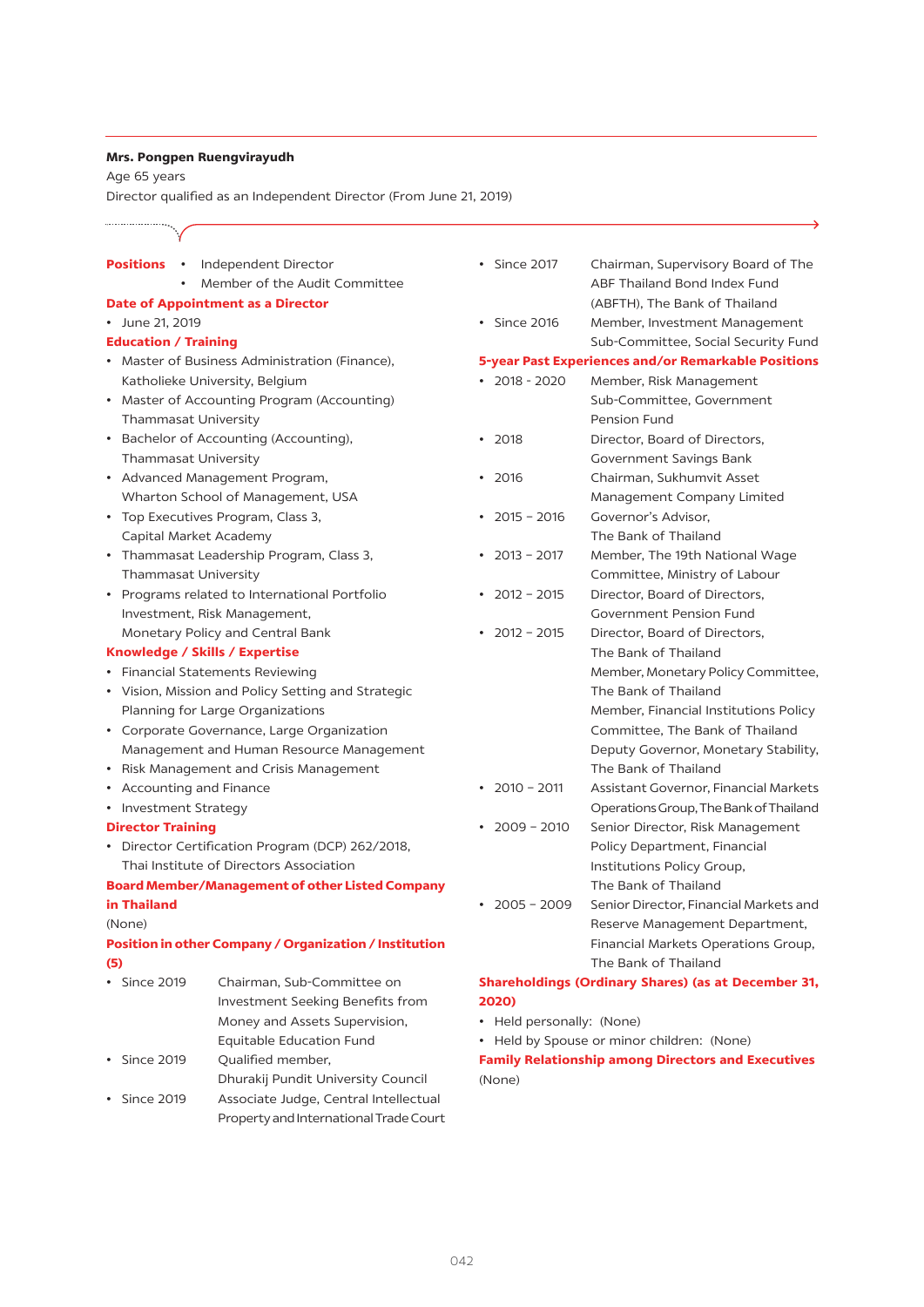#### **Mrs. Pongpen Ruengvirayudh**

Age 65 years

...................

Director qualified as an Independent Director (From June 21, 2019)

## **Positions** • Independent Director • Member of the Audit Committee **Date of Appointment as a Director** • June 21, 2019 **Education / Training** • Master of Business Administration (Finance), Katholieke University, Belgium • Master of Accounting Program (Accounting) Thammasat University • Bachelor of Accounting (Accounting), Thammasat University • Advanced Management Program, Wharton School of Management, USA • Top Executives Program, Class 3, Capital Market Academy • Thammasat Leadership Program, Class 3, Thammasat University • Programs related to International Portfolio Investment, Risk Management, Monetary Policy and Central Bank **Knowledge / Skills / Expertise** • Financial Statements Reviewing • Vision, Mission and Policy Setting and Strategic Planning for Large Organizations • Corporate Governance, Large Organization Management and Human Resource Management • Risk Management and Crisis Management • Accounting and Finance • Investment Strategy **Director Training**  • Director Certification Program (DCP) 262/2018, Thai Institute of Directors Association **Board Member/Management of other Listed Company in Thailand**  (None) **Position in other Company / Organization / Institution (5)** • Since 2019 Chairman, Sub-Committee on Investment Seeking Benefits from Money and Assets Supervision, Equitable Education Fund • Since 2019 Qualified member, Dhurakij Pundit University Council • Since 2019 Associate Judge, Central Intellectual Property and International Trade Court • Since 2017 Chairman, Supervisory Board of The • Since 2016 Member, Investment Management

|                                                     | Sub-Committee, Social Security Fund   |  |
|-----------------------------------------------------|---------------------------------------|--|
| 5-year Past Experiences and/or Remarkable Positions |                                       |  |
| 2018 - 2020                                         | Member, Risk Management               |  |
|                                                     | Sub-Committee, Government             |  |
|                                                     | Pension Fund                          |  |
| 2018                                                | Director, Board of Directors,         |  |
|                                                     | Government Savings Bank               |  |
| 2016                                                | Chairman, Sukhumvit Asset             |  |
|                                                     | Management Company Limited            |  |
| $2015 - 2016$                                       | Governor's Advisor.                   |  |
|                                                     | The Bank of Thailand                  |  |
| $2013 - 2017$                                       | Member, The 19th National Wage        |  |
|                                                     | Committee, Ministry of Labour         |  |
| $2012 - 2015$                                       | Director, Board of Directors,         |  |
|                                                     | <b>Government Pension Fund</b>        |  |
| $\cdot$ 2012 - 2015                                 | Director, Board of Directors,         |  |
|                                                     | The Bank of Thailand                  |  |
|                                                     | Member, Monetary Policy Committee,    |  |
|                                                     | The Bank of Thailand                  |  |
|                                                     | Member, Financial Institutions Policy |  |
|                                                     | Committee, The Bank of Thailand       |  |
|                                                     | Deputy Governor, Monetary Stability,  |  |
|                                                     | The Bank of Thailand                  |  |
| • $2010 - 2011$                                     | Assistant Governor, Financial Markets |  |

 ABF Thailand Bond Index Fund (ABFTH), The Bank of Thailand

- OperationsGroup,TheBankofThailand • 2009 - 2010 Senior Director, Risk Management Policy Department, Financial
- Institutions Policy Group, The Bank of Thailand • 2005 – 2009 Senior Director, Financial Markets and
- Reserve Management Department, Financial Markets Operations Group, The Bank of Thailand

## **Shareholdings (Ordinary Shares) (as at December 31, 2020)**

- • Held personally: (None)
- • Held by Spouse or minor children: (None)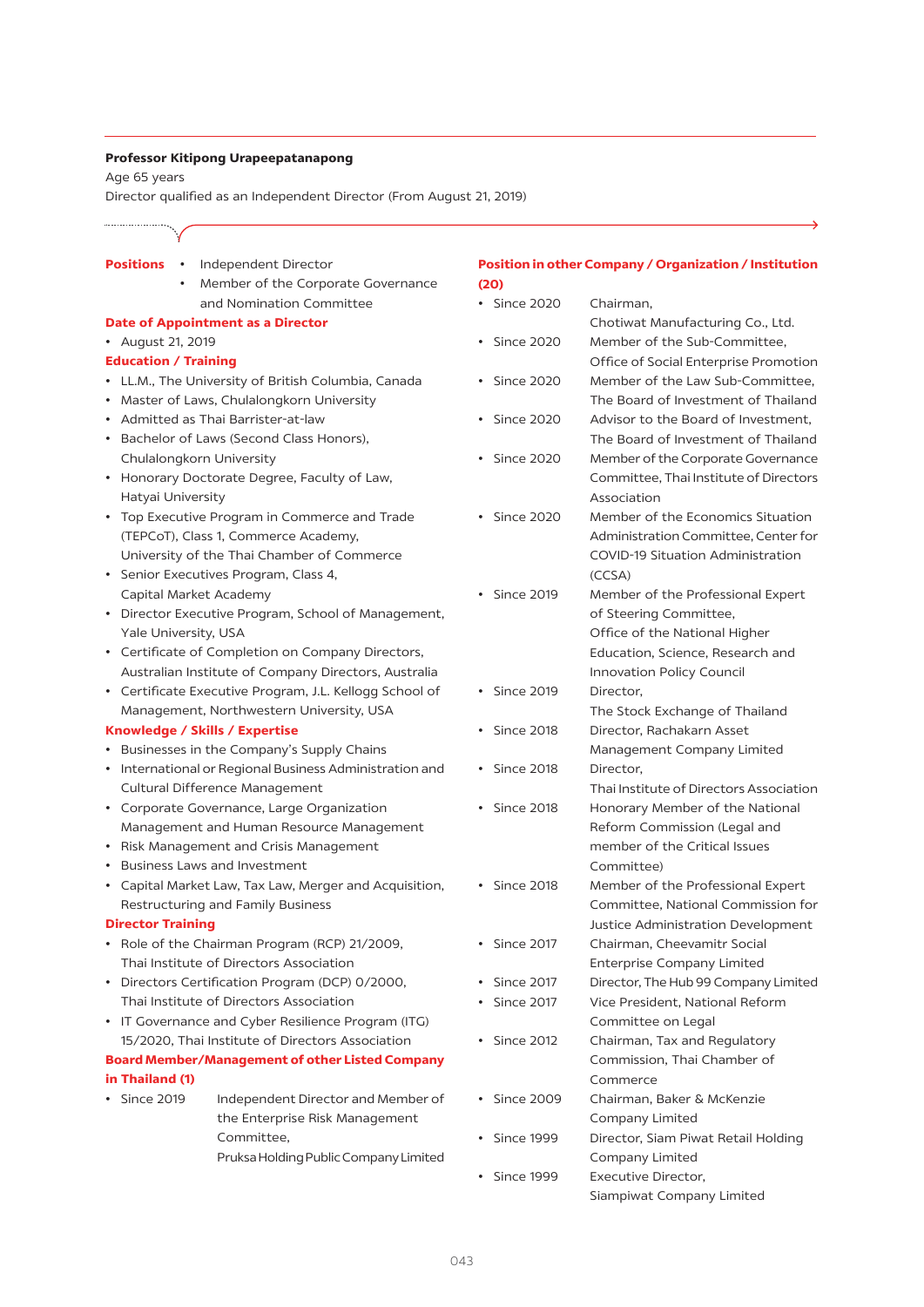#### **Professor Kitipong Urapeepatanapong**

Age 65 years

Director qualified as an Independent Director (From August 21, 2019)

#### **Positions** • Independent Director

Member of the Corporate Governance and Nomination Committee

#### **Date of Appointment as a Director**

• August 21, 2019

#### **Education / Training**

- • LL.M., The University of British Columbia, Canada
- • Master of Laws, Chulalongkorn University
- • Admitted as Thai Barrister-at-law
- • Bachelor of Laws (Second Class Honors), Chulalongkorn University
- • Honorary Doctorate Degree, Faculty of Law, Hatyai University
- • Top Executive Program in Commerce and Trade (TEPCoT), Class 1, Commerce Academy, University of the Thai Chamber of Commerce
- • Senior Executives Program, Class 4, Capital Market Academy
- • Director Executive Program, School of Management, Yale University, USA
- • Certificate of Completion on Company Directors, Australian Institute of Company Directors, Australia
- • Certificate Executive Program, J.L. Kellogg School of Management, Northwestern University, USA

#### **Knowledge / Skills / Expertise**

- • Businesses in the Company's Supply Chains
- • International or Regional Business Administration and Cultural Difference Management
- • Corporate Governance, Large Organization Management and Human Resource Management
- • Risk Management and Crisis Management
- • Business Laws and Investment
- • Capital Market Law, Tax Law, Merger and Acquisition, Restructuring and Family Business

### **Director Training**

- • Role of the Chairman Program (RCP) 21/2009, Thai Institute of Directors Association
- • Directors Certification Program (DCP) 0/2000, Thai Institute of Directors Association
- IT Governance and Cyber Resilience Program (ITG) 15/2020, Thai Institute of Directors Association

## **Board Member/Management of other Listed Company in Thailand (1)**

• Since 2019 Independent Director and Member of the Enterprise Risk Management Committee, Pruksa Holding Public Company Limited

## **Position in other Company / Organization / Institution (20)**

- • Since 2020 Chairman, Chotiwat Manufacturing Co., Ltd. • Since 2020 Member of the Sub-Committee, Office of Social Enterprise Promotion • Since 2020 Member of the Law Sub-Committee, The Board of Investment of Thailand • Since 2020 Advisor to the Board of Investment. The Board of Investment of Thailand • Since 2020 Member of the Corporate Governance Committee, Thai Institute of Directors Association • Since 2020 Member of the Economics Situation Administration Committee, Center for COVID-19 Situation Administration (CCSA) • Since 2019 Member of the Professional Expert of Steering Committee, Office of the National Higher Education, Science, Research and Innovation Policy Council • Since 2019 Director, The Stock Exchange of Thailand • Since 2018 Director, Rachakarn Asset Management Company Limited • Since 2018 Director, Thai Institute of Directors Association • Since 2018 Honorary Member of the National Reform Commission (Legal and member of the Critical Issues Committee) • Since 2018 Member of the Professional Expert Committee, National Commission for Justice Administration Development • Since 2017 Chairman, Cheevamitr Social Enterprise Company Limited • Since 2017 Director, The Hub 99 Company Limited • Since 2017 Vice President, National Reform Committee on Legal • Since 2012 Chairman, Tax and Regulatory Commission, Thai Chamber of Commerce • Since 2009 Chairman, Baker & McKenzie Company Limited • Since 1999 Director, Siam Piwat Retail Holding Company Limited • Since 1999 Executive Director,
	- Siampiwat Company Limited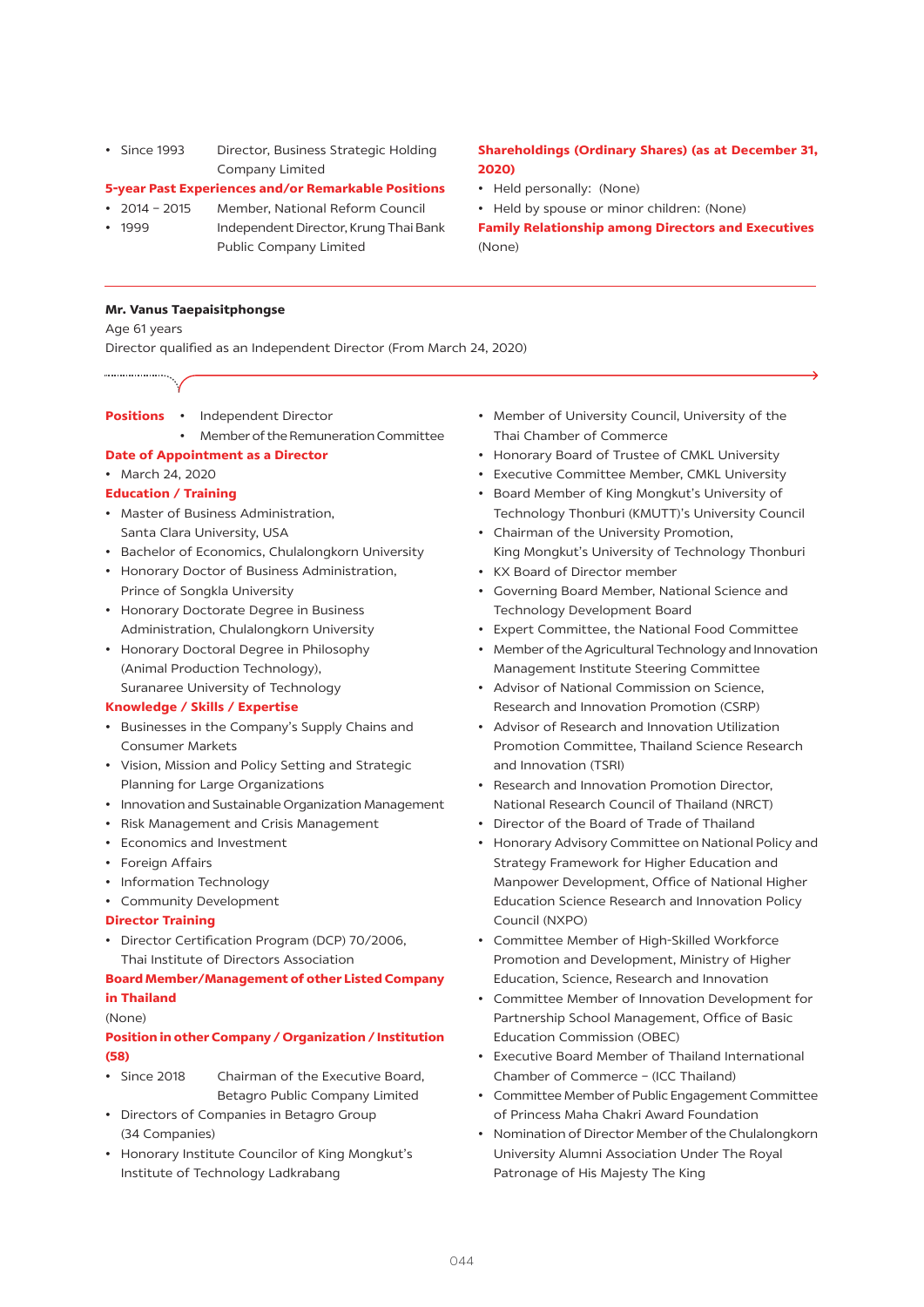• Since 1993 Director, Business Strategic Holding Company Limited

## **5-year Past Experiences and/or Remarkable Positions**

#### • 2014 - 2015 Member, National Reform Council

- 1999 **Independent Director, Krung Thai Bank** 
	- Public Company Limited

## **Shareholdings (Ordinary Shares) (as at December 31, 2020)**

- • Held personally: (None)
- Held by spouse or minor children: (None)

**Family Relationship among Directors and Executives**  (None)

### **Mr. Vanus Taepaisitphongse**

Age 61 years

Director qualified as an Independent Director (From March 24, 2020)

- **Positions** Independent Director
	- Member of the Remuneration Committee
- **Date of Appointment as a Director**

## • March 24, 2020

## **Education / Training**

- • Master of Business Administration, Santa Clara University, USA
- • Bachelor of Economics, Chulalongkorn University
- • Honorary Doctor of Business Administration, Prince of Songkla University
- • Honorary Doctorate Degree in Business Administration, Chulalongkorn University
- • Honorary Doctoral Degree in Philosophy (Animal Production Technology), Suranaree University of Technology

#### **Knowledge / Skills / Expertise**

- • Businesses in the Company's Supply Chains and Consumer Markets
- • Vision, Mission and Policy Setting and Strategic Planning for Large Organizations
- • Innovation and Sustainable Organization Management
- • Risk Management and Crisis Management
- • Economics and Investment
- • Foreign Affairs
- Information Technology
- • Community Development
- **Director Training**
- • Director Certification Program (DCP) 70/2006, Thai Institute of Directors Association

## **Board Member/Management of other Listed Company in Thailand**

#### (None)

## **Position in other Company / Organization / Institution (58)**

- Since 2018 Chairman of the Executive Board. Betagro Public Company Limited
- • Directors of Companies in Betagro Group (34 Companies)
- • Honorary Institute Councilor of King Mongkut's Institute of Technology Ladkrabang
- • Member of University Council, University of the Thai Chamber of Commerce
- Honorary Board of Trustee of CMKL University
- • Executive Committee Member, CMKL University
- Board Member of King Mongkut's University of Technology Thonburi (KMUTT)'s University Council
- Chairman of the University Promotion, King Mongkut's University of Technology Thonburi
- • KX Board of Director member
- Governing Board Member, National Science and Technology Development Board
- • Expert Committee, the National Food Committee
- Member of the Agricultural Technology and Innovation Management Institute Steering Committee
- • Advisor of National Commission on Science, Research and Innovation Promotion (CSRP)
- • Advisor of Research and Innovation Utilization Promotion Committee, Thailand Science Research and Innovation (TSRI)
- Research and Innovation Promotion Director. National Research Council of Thailand (NRCT)
- • Director of the Board of Trade of Thailand
- • Honorary Advisory Committee on National Policy and Strategy Framework for Higher Education and Manpower Development, Office of National Higher Education Science Research and Innovation Policy Council (NXPO)
- Committee Member of High-Skilled Workforce Promotion and Development, Ministry of Higher Education, Science, Research and Innovation
- • Committee Member of Innovation Development for Partnership School Management, Office of Basic Education Commission (OBEC)
- • Executive Board Member of Thailand International Chamber of Commerce – (ICC Thailand)
- • Committee Member of Public Engagement Committee of Princess Maha Chakri Award Foundation
- Nomination of Director Member of the Chulalongkorn University Alumni Association Under The Royal Patronage of His Majesty The King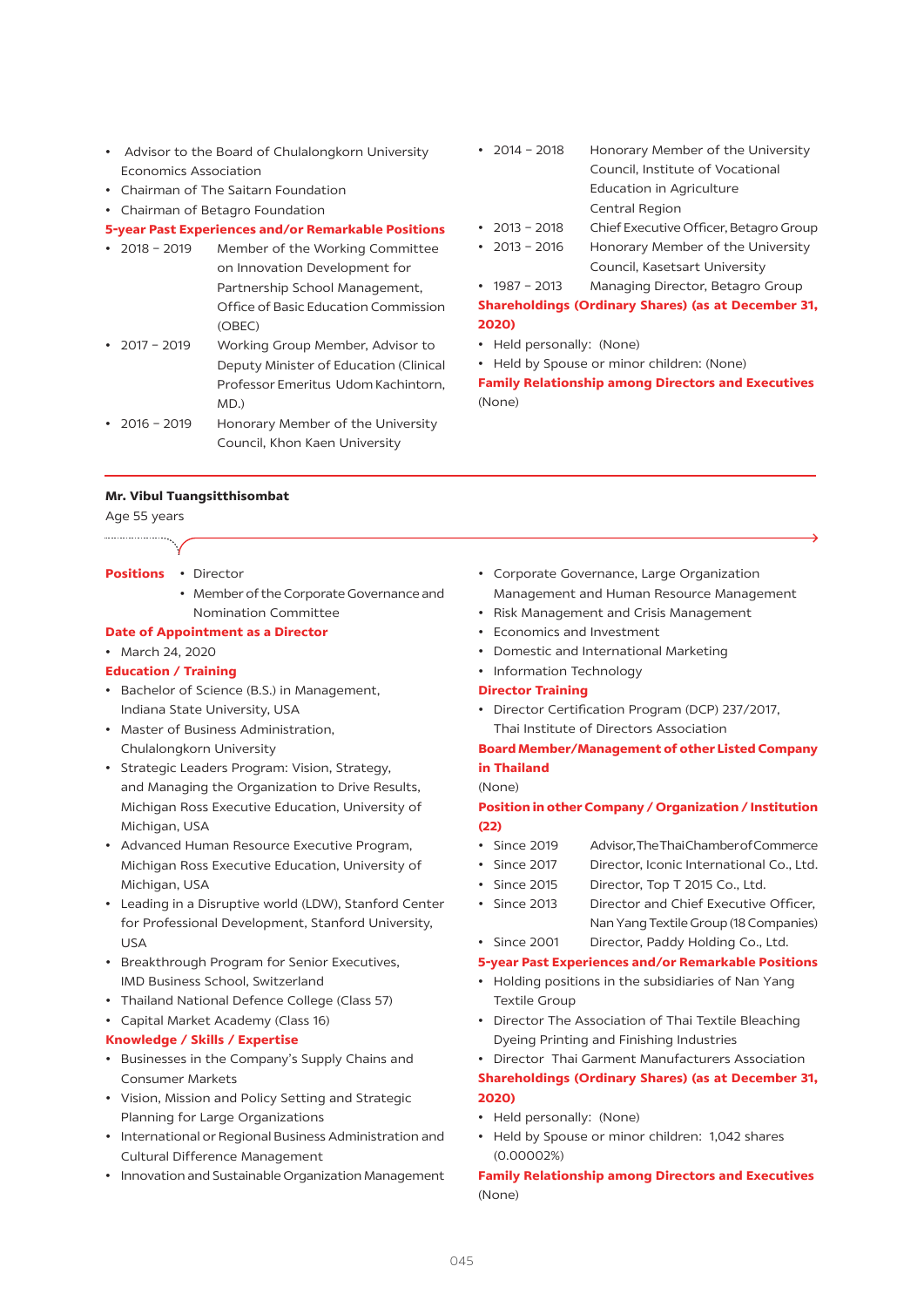- • Advisor to the Board of Chulalongkorn University Economics Association
- • Chairman of The Saitarn Foundation
- • Chairman of Betagro Foundation

#### **5-year Past Experiences and/or Remarkable Positions**

- 2018 2019 Member of the Working Committee on Innovation Development for Partnership School Management, Office of Basic Education Commission (OBEC)
- 2017 2019 Working Group Member, Advisor to Deputy Minister of Education (Clinical Professor Emeritus Udom Kachintorn, MD.)
- 2016 2019 Honorary Member of the University Council, Khon Kaen University

#### **Mr. Vibul Tuangsitthisombat**

Age 55 years

...................

- **Positions** Director
	- Member of the Corporate Governance and Nomination Committee

#### **Date of Appointment as a Director**

## • March 24, 2020

## **Education / Training**

- • Bachelor of Science (B.S.) in Management, Indiana State University, USA
- • Master of Business Administration, Chulalongkorn University
- • Strategic Leaders Program: Vision, Strategy, and Managing the Organization to Drive Results, Michigan Ross Executive Education, University of Michigan, USA
- • Advanced Human Resource Executive Program, Michigan Ross Executive Education, University of Michigan, USA
- • Leading in a Disruptive world (LDW), Stanford Center for Professional Development, Stanford University, USA
- • Breakthrough Program for Senior Executives, IMD Business School, Switzerland
- Thailand National Defence College (Class 57)
- • Capital Market Academy (Class 16)

#### **Knowledge / Skills / Expertise**

- • Businesses in the Company's Supply Chains and Consumer Markets
- • Vision, Mission and Policy Setting and Strategic Planning for Large Organizations
- • International or Regional Business Administration and Cultural Difference Management
- • Innovation and Sustainable Organization Management
- 2014 2018 Honorary Member of the University Council, Institute of Vocational Education in Agriculture Central Region
- 2013 2018 Chief Executive Officer, Betagro Group
- 2013 2016 Honorary Member of the University Council, Kasetsart University

• 1987 - 2013 Managing Director, Betagro Group **Shareholdings (Ordinary Shares) (as at December 31, 2020)**

- Held personally: (None)
- Held by Spouse or minor children: (None)

**Family Relationship among Directors and Executives**  (None)

- • Corporate Governance, Large Organization Management and Human Resource Management
- • Risk Management and Crisis Management
- • Economics and Investment
- • Domestic and International Marketing
- Information Technology

#### **Director Training**

• Director Certification Program (DCP) 237/2017, Thai Institute of Directors Association

## **Board Member/Management of other Listed Company in Thailand**

#### (None)

## **Position in other Company / Organization / Institution (22)**

- • Since 2019 Advisor,TheThaiChamberofCommerce
- Since 2017 Director, Iconic International Co., Ltd.
- Since 2015 Director, Top T 2015 Co., Ltd.
- • Since 2013 Director and Chief Executive Officer, NanYang TextileGroup (18Companies)
- Since 2001 Director, Paddy Holding Co., Ltd.

#### **5-year Past Experiences and/or Remarkable Positions**

- Holding positions in the subsidiaries of Nan Yang Textile Group
- Director The Association of Thai Textile Bleaching Dyeing Printing and Finishing Industries

#### • Director Thai Garment Manufacturers Association

## **Shareholdings (Ordinary Shares) (as at December 31, 2020)**

- • Held personally: (None)
- Held by Spouse or minor children: 1,042 shares (0.00002%)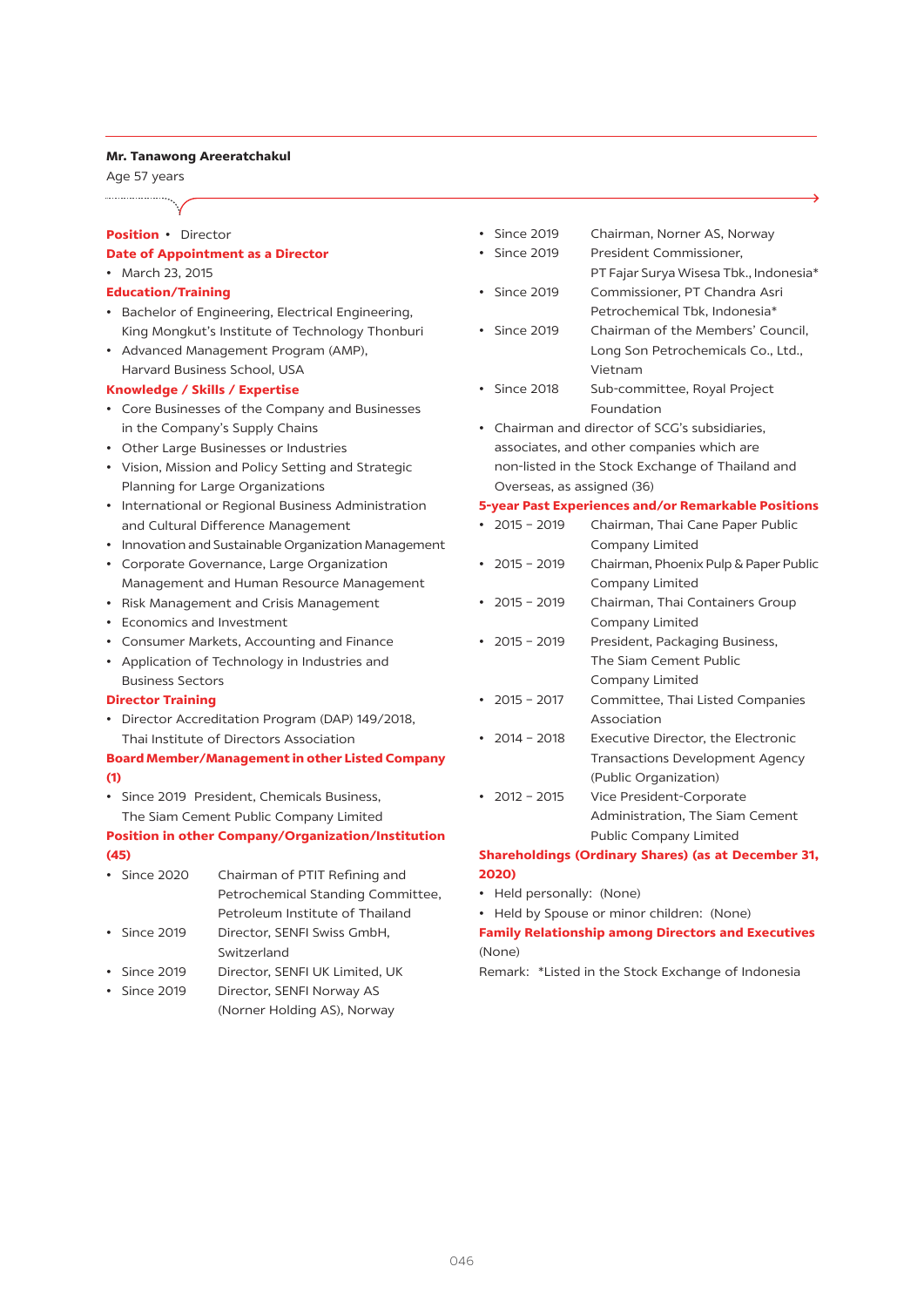#### **Mr. Tanawong Areeratchakul**

Age 57 years

#### **Position** • Director

#### **Date of Appointment as a Director** • March 23, 2015

- **Education/Training**
- 
- • Bachelor of Engineering, Electrical Engineering, King Mongkut's Institute of Technology Thonburi
- • Advanced Management Program (AMP), Harvard Business School, USA

### **Knowledge / Skills / Expertise**

- • Core Businesses of the Company and Businesses in the Company's Supply Chains
- • Other Large Businesses or Industries
- • Vision, Mission and Policy Setting and Strategic Planning for Large Organizations
- • International or Regional Business Administration and Cultural Difference Management
- • Innovation and Sustainable Organization Management
- • Corporate Governance, Large Organization Management and Human Resource Management
- • Risk Management and Crisis Management
- • Economics and Investment
- • Consumer Markets, Accounting and Finance
- • Application of Technology in Industries and Business Sectors

#### **Director Training**

• Director Accreditation Program (DAP) 149/2018, Thai Institute of Directors Association

## **Board Member/Management in other Listed Company (1)**

• Since 2019 President, Chemicals Business, The Siam Cement Public Company Limited

## **Position in other Company/Organization/Institution (45)**

- Since 2020 Chairman of PTIT Refining and Petrochemical Standing Committee, Petroleum Institute of Thailand
- Since 2019 Director, SENFI Swiss GmbH, Switzerland
- Since 2019 Director, SENFI UK Limited, UK
- Since 2019 Director, SENFI Norway AS (Norner Holding AS), Norway
- Since 2019 Chairman, Norner AS, Norway
- Since 2019 President Commissioner. PT Fajar Surya Wisesa Tbk., Indonesia\*
- Since 2019 Commissioner, PT Chandra Asri Petrochemical Tbk, Indonesia\*
- Since 2019 Chairman of the Members' Council, Long Son Petrochemicals Co., Ltd., Vietnam
- Since 2018 Sub-committee, Royal Project Foundation
- • Chairman and director of SCG's subsidiaries, associates, and other companies which are non-listed in the Stock Exchange of Thailand and Overseas, as assigned (36)

#### **5-year Past Experiences and/or Remarkable Positions**

- 2015 2019 Chairman, Thai Cane Paper Public Company Limited
- 2015 2019 Chairman, Phoenix Pulp & Paper Public Company Limited
- 2015 2019 Chairman, Thai Containers Group Company Limited
- 2015 2019 President, Packaging Business, The Siam Cement Public Company Limited
- 2015 2017 Committee, Thai Listed Companies Association
- • 2014 2018 Executive Director, the Electronic Transactions Development Agency (Public Organization)
- 2012 2015 Vice President-Corporate Administration, The Siam Cement Public Company Limited

## **Shareholdings (Ordinary Shares) (as at December 31, 2020)**

- • Held personally: (None)
- Held by Spouse or minor children: (None)

## **Family Relationship among Directors and Executives**  (None)

Remark: \*Listed in the Stock Exchange of Indonesia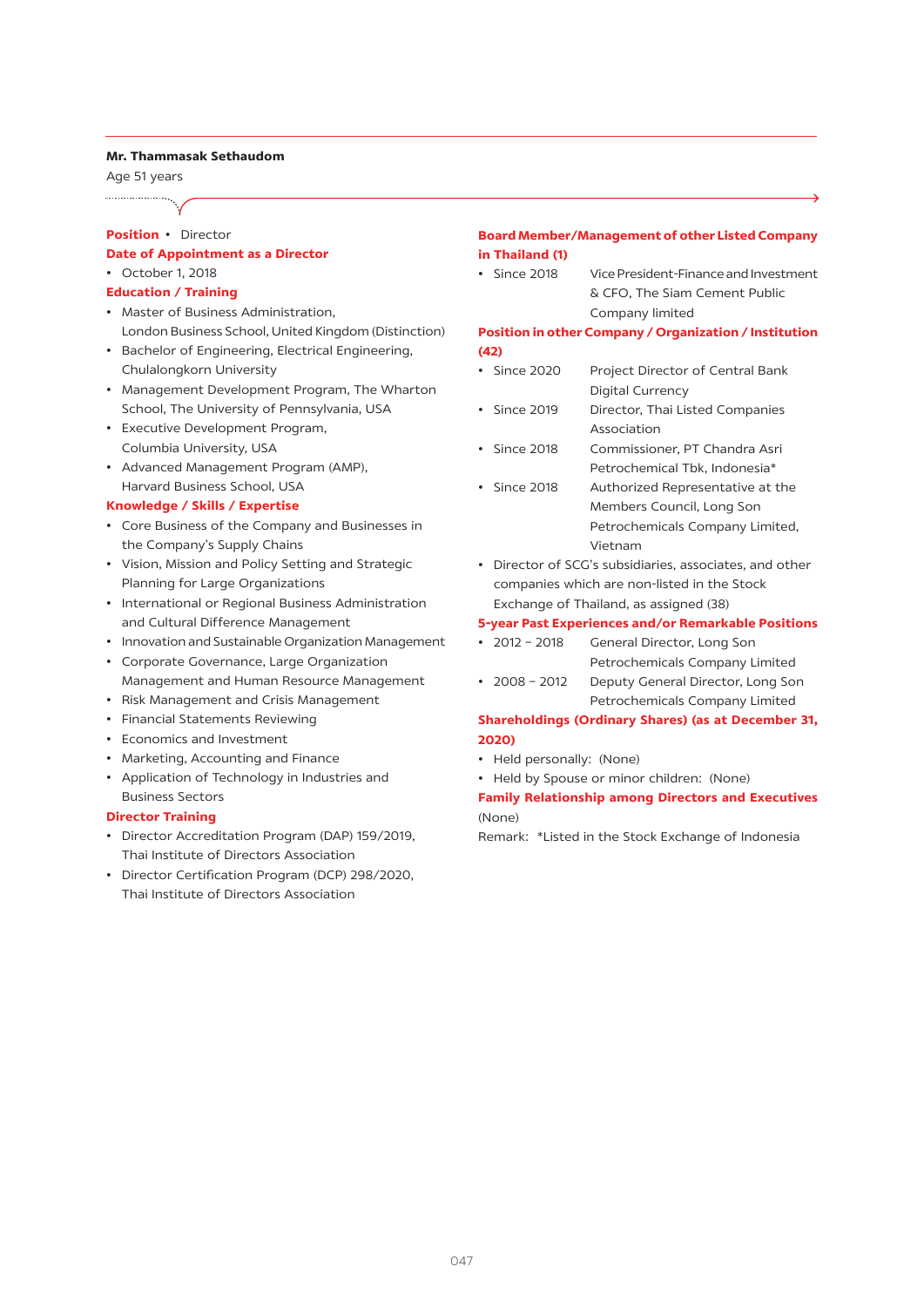#### **Mr. Thammasak Sethaudom**

Age 51 years

## **Position** • Director

#### **Date of Appointment as a Director** • October 1, 2018

- **Education / Training**
- • Master of Business Administration, London Business School, United Kingdom (Distinction)
- • Bachelor of Engineering, Electrical Engineering, Chulalongkorn University
- • Management Development Program, The Wharton School, The University of Pennsylvania, USA
- • Executive Development Program, Columbia University, USA
- • Advanced Management Program (AMP), Harvard Business School, USA

#### **Knowledge / Skills / Expertise**

- • Core Business of the Company and Businesses in the Company's Supply Chains
- • Vision, Mission and Policy Setting and Strategic Planning for Large Organizations
- • International or Regional Business Administration and Cultural Difference Management
- • Innovation and Sustainable Organization Management
- • Corporate Governance, Large Organization Management and Human Resource Management
- • Risk Management and Crisis Management
- • Financial Statements Reviewing
- • Economics and Investment
- • Marketing, Accounting and Finance
- • Application of Technology in Industries and Business Sectors

#### **Director Training**

- • Director Accreditation Program (DAP) 159/2019, Thai Institute of Directors Association
- • Director Certification Program (DCP) 298/2020, Thai Institute of Directors Association

## **Board Member/Management of other Listed Company in Thailand (1)**

• Since 2018 Vice President-Finance and Investment & CFO, The Siam Cement Public Company limited

## **Position in other Company / Organization / Institution (42)**

- Since 2020 Project Director of Central Bank Digital Currency
- Since 2019 Director, Thai Listed Companies Association
- • Since 2018 Commissioner, PT Chandra Asri Petrochemical Tbk, Indonesia\*
- Since 2018 Authorized Representative at the Members Council, Long Son Petrochemicals Company Limited, Vietnam
- • Director of SCG's subsidiaries, associates, and other companies which are non-listed in the Stock Exchange of Thailand, as assigned (38)

#### **5-year Past Experiences and/or Remarkable Positions**

- 2012 2018 General Director, Long Son Petrochemicals Company Limited
- 2008 2012 Deputy General Director, Long Son Petrochemicals Company Limited

## **Shareholdings (Ordinary Shares) (as at December 31, 2020)**

- • Held personally: (None)
- • Held by Spouse or minor children: (None)

## **Family Relationship among Directors and Executives**  (None)

Remark: \*Listed in the Stock Exchange of Indonesia